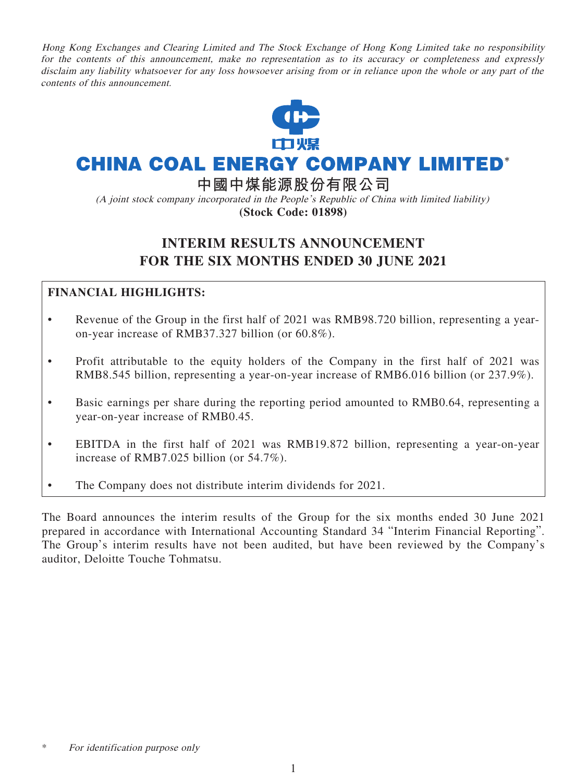Hong Kong Exchanges and Clearing Limited and The Stock Exchange of Hong Kong Limited take no responsibility for the contents of this announcement, make no representation as to its accuracy or completeness and expressly disclaim any liability whatsoever for any loss howsoever arising from or in reliance upon the whole or any part of the contents of this announcement.



# **CHINA COAL ENERGY COMPANY LIMITED\***

**中國中煤能源股份有限公司**

(A joint stock company incorporated in the People's Republic of China with limited liability) **(Stock Code: 01898)**

# **INTERIM RESULTS ANNOUNCEMENT FOR THE SIX MONTHS ENDED 30 JUNE 2021**

# **FINANCIAL HIGHLIGHTS:**

- Revenue of the Group in the first half of 2021 was RMB98.720 billion, representing a yearon-year increase of RMB37.327 billion (or 60.8%).
- Profit attributable to the equity holders of the Company in the first half of 2021 was RMB8.545 billion, representing a year-on-year increase of RMB6.016 billion (or 237.9%).
- Basic earnings per share during the reporting period amounted to RMB0.64, representing a year-on-year increase of RMB0.45.
- EBITDA in the first half of 2021 was RMB19.872 billion, representing a year-on-year increase of RMB7.025 billion (or 54.7%).
- The Company does not distribute interim dividends for 2021.

The Board announces the interim results of the Group for the six months ended 30 June 2021 prepared in accordance with International Accounting Standard 34 "Interim Financial Reporting". The Group's interim results have not been audited, but have been reviewed by the Company's auditor, Deloitte Touche Tohmatsu.

For identification purpose only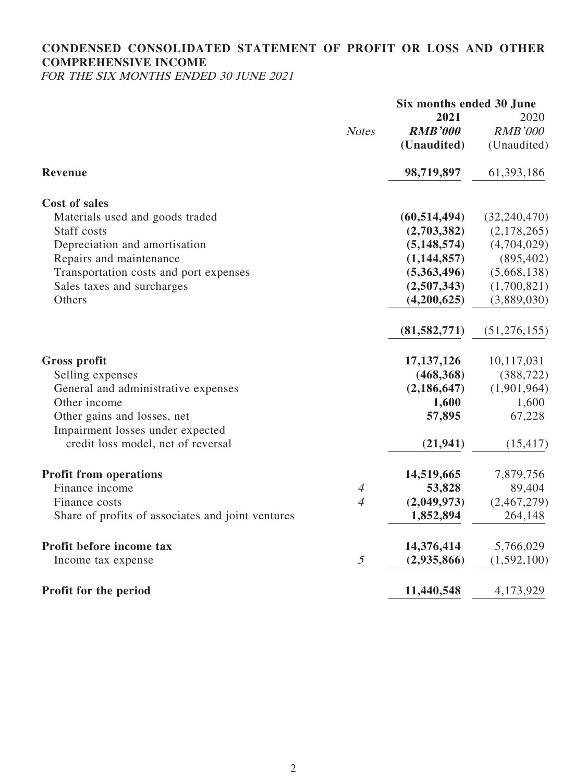# **CONDENSED CONSOLIDATED STATEMENT OF PROFIT OR LOSS AND OTHER COMPREHENSIVE INCOME**

FOR THE SIX MONTHS ENDED 30 JUNE 2021

|                                                   |                | Six months ended 30 June<br>2021 | 2020           |
|---------------------------------------------------|----------------|----------------------------------|----------------|
|                                                   | <b>Notes</b>   | <b>RMB'000</b>                   | <b>RMB'000</b> |
|                                                   |                | (Unaudited)                      | (Unaudited)    |
| Revenue                                           |                | 98,719,897                       | 61,393,186     |
| <b>Cost of sales</b>                              |                |                                  |                |
| Materials used and goods traded                   |                | (60, 514, 494)                   | (32, 240, 470) |
| Staff costs                                       |                | (2,703,382)                      | (2,178,265)    |
| Depreciation and amortisation                     |                | (5, 148, 574)                    | (4,704,029)    |
| Repairs and maintenance                           |                | (1,144,857)                      | (895, 402)     |
| Transportation costs and port expenses            |                | (5,363,496)                      | (5,668,138)    |
| Sales taxes and surcharges                        |                | (2,507,343)                      | (1,700,821)    |
| Others                                            |                | (4,200,625)                      | (3,889,030)    |
|                                                   |                | (81, 582, 771)                   | (51, 276, 155) |
| <b>Gross profit</b>                               |                | 17, 137, 126                     | 10,117,031     |
| Selling expenses                                  |                | (468, 368)                       | (388, 722)     |
| General and administrative expenses               |                | (2, 186, 647)                    | (1,901,964)    |
| Other income                                      |                | 1,600                            | 1,600          |
| Other gains and losses, net                       |                | 57,895                           | 67,228         |
| Impairment losses under expected                  |                |                                  |                |
| credit loss model, net of reversal                |                | (21, 941)                        | (15, 417)      |
| <b>Profit from operations</b>                     |                | 14,519,665                       | 7,879,756      |
| Finance income                                    | $\overline{4}$ | 53,828                           | 89,404         |
| Finance costs                                     | $\overline{4}$ | (2,049,973)                      | (2,467,279)    |
| Share of profits of associates and joint ventures |                | 1,852,894                        | 264,148        |
| Profit before income tax                          |                | 14,376,414                       | 5,766,029      |
| Income tax expense                                | 5              | (2,935,866)                      | (1, 592, 100)  |
| Profit for the period                             |                | 11,440,548                       | 4,173,929      |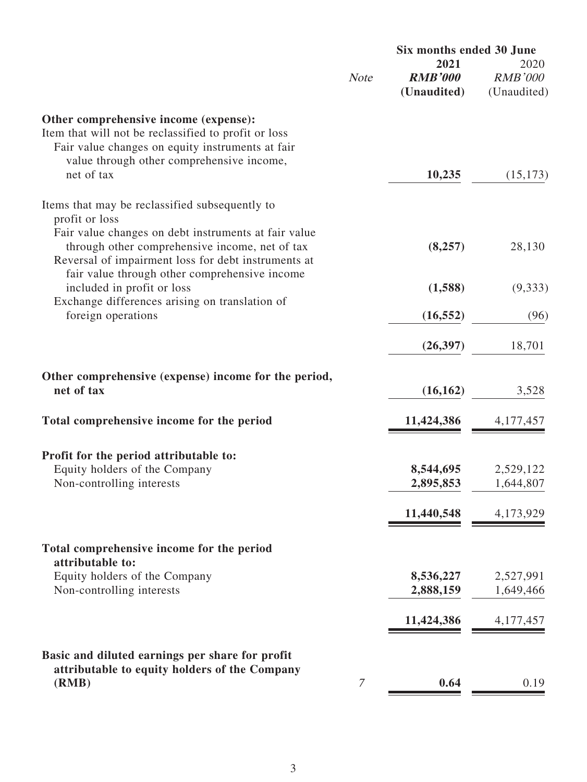|                                                                                                                                                                                                |             | Six months ended 30 June              |                                       |  |
|------------------------------------------------------------------------------------------------------------------------------------------------------------------------------------------------|-------------|---------------------------------------|---------------------------------------|--|
|                                                                                                                                                                                                | <b>Note</b> | 2021<br><b>RMB'000</b><br>(Unaudited) | 2020<br><b>RMB'000</b><br>(Unaudited) |  |
| Other comprehensive income (expense):<br>Item that will not be reclassified to profit or loss<br>Fair value changes on equity instruments at fair<br>value through other comprehensive income, |             |                                       |                                       |  |
| net of tax                                                                                                                                                                                     |             | 10,235                                | (15, 173)                             |  |
| Items that may be reclassified subsequently to<br>profit or loss<br>Fair value changes on debt instruments at fair value                                                                       |             |                                       |                                       |  |
| through other comprehensive income, net of tax<br>Reversal of impairment loss for debt instruments at<br>fair value through other comprehensive income                                         |             | (8,257)                               | 28,130                                |  |
| included in profit or loss                                                                                                                                                                     |             | (1,588)                               | (9, 333)                              |  |
| Exchange differences arising on translation of<br>foreign operations                                                                                                                           |             | (16, 552)                             | (96)                                  |  |
|                                                                                                                                                                                                |             | (26, 397)                             | 18,701                                |  |
| Other comprehensive (expense) income for the period,<br>net of tax                                                                                                                             |             | (16, 162)                             | 3,528                                 |  |
| Total comprehensive income for the period                                                                                                                                                      |             | 11,424,386                            | 4, 177, 457                           |  |
| Profit for the period attributable to:                                                                                                                                                         |             |                                       |                                       |  |
| Equity holders of the Company                                                                                                                                                                  |             | 8,544,695                             | 2,529,122                             |  |
| Non-controlling interests                                                                                                                                                                      |             | 2,895,853                             | 1,644,807                             |  |
|                                                                                                                                                                                                |             | 11,440,548                            | 4,173,929                             |  |
| Total comprehensive income for the period<br>attributable to:                                                                                                                                  |             |                                       |                                       |  |
| Equity holders of the Company                                                                                                                                                                  |             | 8,536,227                             | 2,527,991                             |  |
| Non-controlling interests                                                                                                                                                                      |             | 2,888,159                             | 1,649,466                             |  |
|                                                                                                                                                                                                |             | 11,424,386                            | 4, 177, 457                           |  |
| Basic and diluted earnings per share for profit                                                                                                                                                |             |                                       |                                       |  |
| attributable to equity holders of the Company<br>(RMB)                                                                                                                                         | 7           | 0.64                                  | 0.19                                  |  |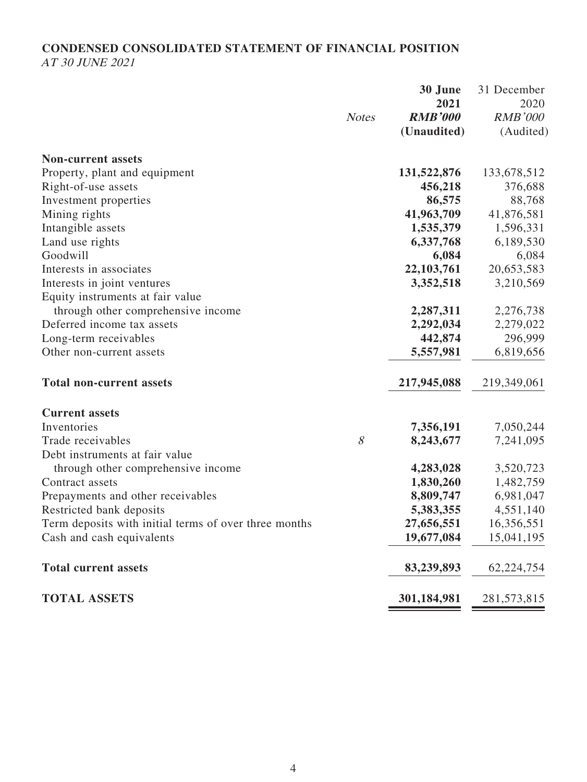# **CONDENSED CONSOLIDATED STATEMENT OF FINANCIAL POSITION** AT 30 JUNE 2021

|                                                       |              | 30 June        | 31 December    |
|-------------------------------------------------------|--------------|----------------|----------------|
|                                                       |              | 2021           | 2020           |
|                                                       | <b>Notes</b> | <b>RMB'000</b> | <b>RMB'000</b> |
|                                                       |              | (Unaudited)    | (Audited)      |
| <b>Non-current assets</b>                             |              |                |                |
| Property, plant and equipment                         |              | 131,522,876    | 133,678,512    |
| Right-of-use assets                                   |              | 456,218        | 376,688        |
| Investment properties                                 |              | 86,575         | 88,768         |
| Mining rights                                         |              | 41,963,709     | 41,876,581     |
| Intangible assets                                     |              | 1,535,379      | 1,596,331      |
| Land use rights                                       |              | 6,337,768      | 6,189,530      |
| Goodwill                                              |              | 6,084          | 6,084          |
| Interests in associates                               |              | 22,103,761     | 20,653,583     |
| Interests in joint ventures                           |              | 3,352,518      | 3,210,569      |
| Equity instruments at fair value                      |              |                |                |
| through other comprehensive income                    |              | 2,287,311      | 2,276,738      |
| Deferred income tax assets                            |              | 2,292,034      | 2,279,022      |
| Long-term receivables                                 |              | 442,874        | 296,999        |
| Other non-current assets                              |              | 5,557,981      | 6,819,656      |
| <b>Total non-current assets</b>                       |              | 217,945,088    | 219,349,061    |
| <b>Current assets</b>                                 |              |                |                |
| Inventories                                           |              | 7,356,191      | 7,050,244      |
| Trade receivables                                     | 8            | 8,243,677      | 7,241,095      |
| Debt instruments at fair value                        |              |                |                |
| through other comprehensive income                    |              | 4,283,028      | 3,520,723      |
| Contract assets                                       |              | 1,830,260      | 1,482,759      |
| Prepayments and other receivables                     |              | 8,809,747      | 6,981,047      |
| Restricted bank deposits                              |              | 5,383,355      | 4,551,140      |
| Term deposits with initial terms of over three months |              | 27,656,551     | 16,356,551     |
| Cash and cash equivalents                             |              | 19,677,084     | 15,041,195     |
| <b>Total current assets</b>                           |              | 83,239,893     | 62,224,754     |
| <b>TOTAL ASSETS</b>                                   |              | 301,184,981    | 281,573,815    |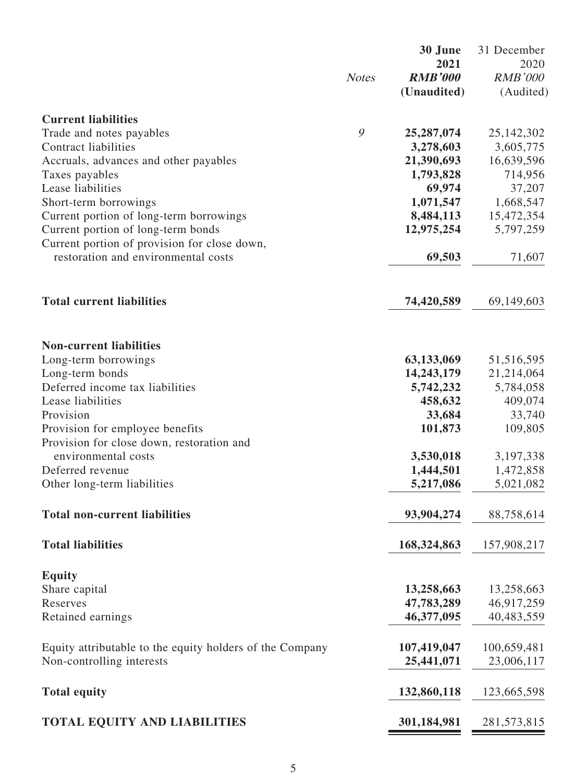|                                                                               | <b>Notes</b> | 30 June<br>2021<br><b>RMB'000</b><br>(Unaudited) | 31 December<br>2020<br><b>RMB'000</b><br>(Audited) |
|-------------------------------------------------------------------------------|--------------|--------------------------------------------------|----------------------------------------------------|
| <b>Current liabilities</b>                                                    |              |                                                  |                                                    |
| Trade and notes payables                                                      | 9            | 25,287,074                                       | 25, 142, 302                                       |
| <b>Contract liabilities</b>                                                   |              | 3,278,603                                        | 3,605,775                                          |
| Accruals, advances and other payables                                         |              | 21,390,693                                       | 16,639,596                                         |
| Taxes payables                                                                |              | 1,793,828                                        | 714,956                                            |
| Lease liabilities                                                             |              | 69,974                                           | 37,207                                             |
| Short-term borrowings                                                         |              | 1,071,547                                        | 1,668,547                                          |
| Current portion of long-term borrowings<br>Current portion of long-term bonds |              | 8,484,113<br>12,975,254                          | 15,472,354<br>5,797,259                            |
| Current portion of provision for close down,                                  |              |                                                  |                                                    |
| restoration and environmental costs                                           |              | 69,503                                           | 71,607                                             |
| <b>Total current liabilities</b>                                              |              | 74,420,589                                       | 69,149,603                                         |
| <b>Non-current liabilities</b>                                                |              |                                                  |                                                    |
| Long-term borrowings                                                          |              | 63,133,069                                       | 51,516,595                                         |
| Long-term bonds<br>Deferred income tax liabilities                            |              | 14,243,179<br>5,742,232                          | 21,214,064<br>5,784,058                            |
| Lease liabilities                                                             |              | 458,632                                          | 409,074                                            |
| Provision                                                                     |              | 33,684                                           | 33,740                                             |
| Provision for employee benefits                                               |              | 101,873                                          | 109,805                                            |
| Provision for close down, restoration and                                     |              |                                                  |                                                    |
| environmental costs<br>Deferred revenue                                       |              | 3,530,018<br>1,444,501                           | 3,197,338<br>1,472,858                             |
| Other long-term liabilities                                                   |              | 5,217,086                                        | 5,021,082                                          |
|                                                                               |              |                                                  |                                                    |
| <b>Total non-current liabilities</b>                                          |              | 93,904,274                                       | 88,758,614                                         |
| <b>Total liabilities</b>                                                      |              | 168, 324, 863                                    | 157,908,217                                        |
| <b>Equity</b>                                                                 |              |                                                  |                                                    |
| Share capital                                                                 |              | 13,258,663                                       | 13,258,663                                         |
| Reserves                                                                      |              | 47,783,289                                       | 46,917,259                                         |
| Retained earnings                                                             |              | 46,377,095                                       | 40,483,559                                         |
| Equity attributable to the equity holders of the Company                      |              | 107,419,047                                      | 100,659,481                                        |
| Non-controlling interests                                                     |              | 25,441,071                                       | 23,006,117                                         |
| <b>Total equity</b>                                                           |              | 132,860,118                                      | 123,665,598                                        |
| <b>TOTAL EQUITY AND LIABILITIES</b>                                           |              | 301,184,981                                      | 281,573,815                                        |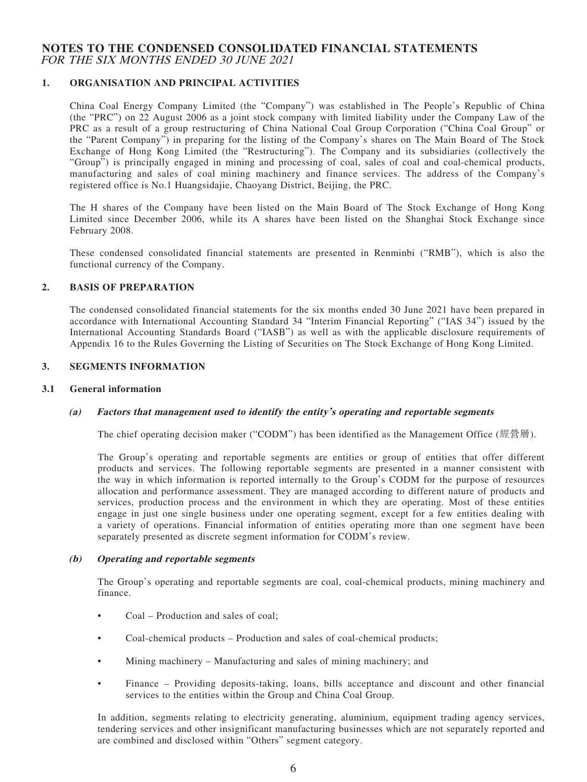#### **NOTES TO THE CONDENSED CONSOLIDATED FINANCIAL STATEMENTS** FOR THE SIX MONTHS ENDED 30 JUNE 2021

#### **1. ORGANISATION AND PRINCIPAL ACTIVITIES**

China Coal Energy Company Limited (the "Company") was established in The People's Republic of China (the "PRC") on 22 August 2006 as a joint stock company with limited liability under the Company Law of the PRC as a result of a group restructuring of China National Coal Group Corporation ("China Coal Group" or the "Parent Company") in preparing for the listing of the Company's shares on The Main Board of The Stock Exchange of Hong Kong Limited (the "Restructuring"). The Company and its subsidiaries (collectively the "Group") is principally engaged in mining and processing of coal, sales of coal and coal-chemical products, manufacturing and sales of coal mining machinery and finance services. The address of the Company's registered office is No.1 Huangsidajie, Chaoyang District, Beijing, the PRC.

The H shares of the Company have been listed on the Main Board of The Stock Exchange of Hong Kong Limited since December 2006, while its A shares have been listed on the Shanghai Stock Exchange since February 2008.

These condensed consolidated financial statements are presented in Renminbi ("RMB"), which is also the functional currency of the Company.

#### **2. BASIS OF PREPARATION**

The condensed consolidated financial statements for the six months ended 30 June 2021 have been prepared in accordance with International Accounting Standard 34 "Interim Financial Reporting" ("IAS 34") issued by the International Accounting Standards Board ("IASB") as well as with the applicable disclosure requirements of Appendix 16 to the Rules Governing the Listing of Securities on The Stock Exchange of Hong Kong Limited.

#### **3. SEGMENTS INFORMATION**

#### **3.1 General information**

#### **(a) Factors that management used to identify the entity's operating and reportable segments**

The chief operating decision maker ("CODM") has been identified as the Management Office (經營層).

The Group's operating and reportable segments are entities or group of entities that offer different products and services. The following reportable segments are presented in a manner consistent with the way in which information is reported internally to the Group's CODM for the purpose of resources allocation and performance assessment. They are managed according to different nature of products and services, production process and the environment in which they are operating. Most of these entities engage in just one single business under one operating segment, except for a few entities dealing with a variety of operations. Financial information of entities operating more than one segment have been separately presented as discrete segment information for CODM's review.

#### **(b) Operating and reportable segments**

The Group's operating and reportable segments are coal, coal-chemical products, mining machinery and finance.

- Coal Production and sales of coal;
- Coal-chemical products Production and sales of coal-chemical products;
- Mining machinery Manufacturing and sales of mining machinery; and
- Finance Providing deposits-taking, loans, bills acceptance and discount and other financial services to the entities within the Group and China Coal Group.

In addition, segments relating to electricity generating, aluminium, equipment trading agency services, tendering services and other insignificant manufacturing businesses which are not separately reported and are combined and disclosed within "Others" segment category.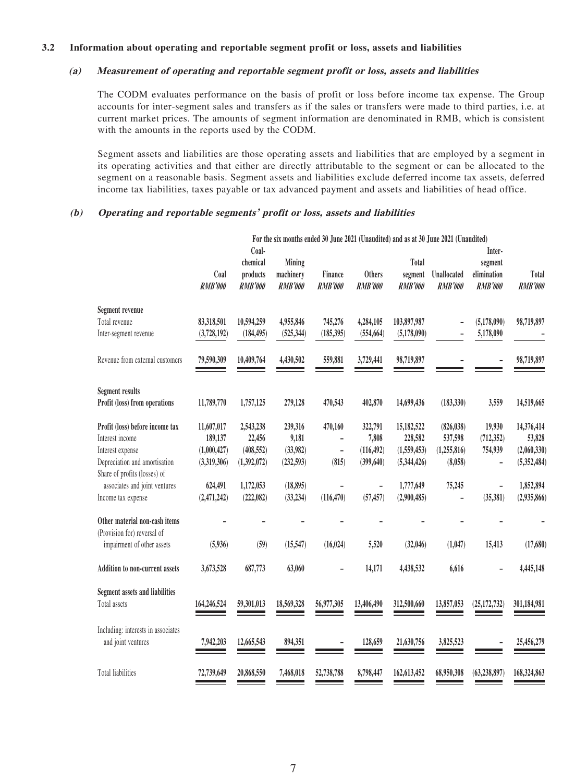#### **3.2 Information about operating and reportable segment profit or loss, assets and liabilities**

#### **(a) Measurement of operating and reportable segment profit or loss, assets and liabilities**

The CODM evaluates performance on the basis of profit or loss before income tax expense. The Group accounts for inter-segment sales and transfers as if the sales or transfers were made to third parties, i.e. at current market prices. The amounts of segment information are denominated in RMB, which is consistent with the amounts in the reports used by the CODM.

Segment assets and liabilities are those operating assets and liabilities that are employed by a segment in its operating activities and that either are directly attributable to the segment or can be allocated to the segment on a reasonable basis. Segment assets and liabilities exclude deferred income tax assets, deferred income tax liabilities, taxes payable or tax advanced payment and assets and liabilities of head office.

#### **(b) Operating and reportable segments' profit or loss, assets and liabilities**

|                                                               | For the six months ended 30 June 2021 (Unaudited) and as at 30 June 2021 (Unaudited)<br>Coal- |                                        |                                       |                           |                                 |                                    | Inter-                               |                                   |                         |
|---------------------------------------------------------------|-----------------------------------------------------------------------------------------------|----------------------------------------|---------------------------------------|---------------------------|---------------------------------|------------------------------------|--------------------------------------|-----------------------------------|-------------------------|
|                                                               | Coal<br><b>RMB'000</b>                                                                        | chemical<br>products<br><b>RMB'000</b> | Mining<br>machinery<br><b>RMB'000</b> | Finance<br><b>RMB'000</b> | <b>Others</b><br><b>RMB'000</b> | Total<br>segment<br><b>RMB'000</b> | <b>Unallocated</b><br><b>RMB'000</b> | segment<br>elimination<br>RMB'000 | Total<br><b>RMB'000</b> |
| <b>Segment revenue</b>                                        |                                                                                               |                                        |                                       |                           |                                 |                                    |                                      |                                   |                         |
| Total revenue                                                 | 83,318,501                                                                                    | 10,594,259                             | 4,955,846                             | 745,276                   | 4,284,105                       | 103,897,987                        |                                      | (5,178,090)                       | 98,719,897              |
| Inter-segment revenue                                         | (3,728,192)                                                                                   | (184, 495)                             | (525, 344)                            | (185, 395)                | (554, 664)                      | (5,178,090)                        |                                      | 5,178,090                         |                         |
| Revenue from external customers                               | 79,590,309                                                                                    | 10,409,764                             | 4,430,502                             | 559,881                   | 3,729,441                       | 98,719,897                         |                                      |                                   | 98,719,897              |
| <b>Segment results</b>                                        |                                                                                               |                                        |                                       |                           |                                 |                                    |                                      |                                   |                         |
| Profit (loss) from operations                                 | 11,789,770                                                                                    | 1,757,125                              | 279,128                               | 470,543                   | 402,870                         | 14,699,436                         | (183, 330)                           | 3,559                             | 14,519,665              |
| Profit (loss) before income tax                               | 11,607,017                                                                                    | 2,543,238                              | 239,316                               | 470,160                   | 322,791                         | 15,182,522                         | (826, 038)                           | 19,930                            | 14,376,414              |
| Interest income                                               | 189,137                                                                                       | 22,456                                 | 9,181                                 | -                         | 7,808                           | 228,582                            | 537,598                              | (712, 352)                        | 53,828                  |
| Interest expense                                              | (1,000,427)                                                                                   | (408, 552)                             | (33,982)                              | $\overline{\phantom{0}}$  | (116, 492)                      | (1,559,453)                        | (1, 255, 816)                        | 754,939                           | (2,060,330)             |
| Depreciation and amortisation<br>Share of profits (losses) of | (3,319,306)                                                                                   | (1,392,072)                            | (232, 593)                            | (815)                     | (399, 640)                      | (5,344,426)                        | (8,058)                              |                                   | (5, 352, 484)           |
| associates and joint ventures                                 | 624,491                                                                                       | 1,172,053                              | (18, 895)                             |                           | $\qquad \qquad -$               | 1,777,649                          | 75,245                               |                                   | 1,852,894               |
| Income tax expense                                            | (2,471,242)                                                                                   | (222, 082)                             | (33, 234)                             | (116, 470)                | (57, 457)                       | (2,900,485)                        |                                      | (35,381)                          | (2,935,866)             |
| Other material non-cash items<br>(Provision for) reversal of  |                                                                                               |                                        |                                       |                           |                                 |                                    |                                      |                                   |                         |
| impairment of other assets                                    | (5,936)                                                                                       | (59)                                   | (15, 547)                             | (16, 024)                 | 5,520                           | (32,046)                           | (1,047)                              | 15,413                            | (17,680)                |
| <b>Addition to non-current assets</b>                         | 3,673,528                                                                                     | 687,773                                | 63,060                                |                           | 14,171                          | 4,438,532                          | 6,616                                |                                   | 4,445,148               |
| <b>Segment assets and liabilities</b>                         |                                                                                               |                                        |                                       |                           |                                 |                                    |                                      |                                   |                         |
| Total assets                                                  | 164,246,524                                                                                   | 59,301,013                             | 18,569,328                            | 56,977,305                | 13,406,490                      | 312,500,660                        | 13,857,053                           | (25, 172, 732)                    | 301,184,981             |
| Including: interests in associates                            |                                                                                               |                                        |                                       |                           |                                 |                                    |                                      |                                   |                         |
| and joint ventures                                            | 7,942,203                                                                                     | 12,665,543                             | 894,351                               |                           | 128,659                         | 21,630,756                         | 3,825,523                            |                                   | 25,456,279              |
| <b>Total liabilities</b>                                      | 72,739,649                                                                                    | 20,868,550                             | 7,468,018                             | 52,738,788                | 8,798,447                       | 162,613,452                        | 68,950,308                           | (63, 238, 897)                    | 168,324,863             |
|                                                               |                                                                                               |                                        |                                       |                           |                                 |                                    |                                      |                                   |                         |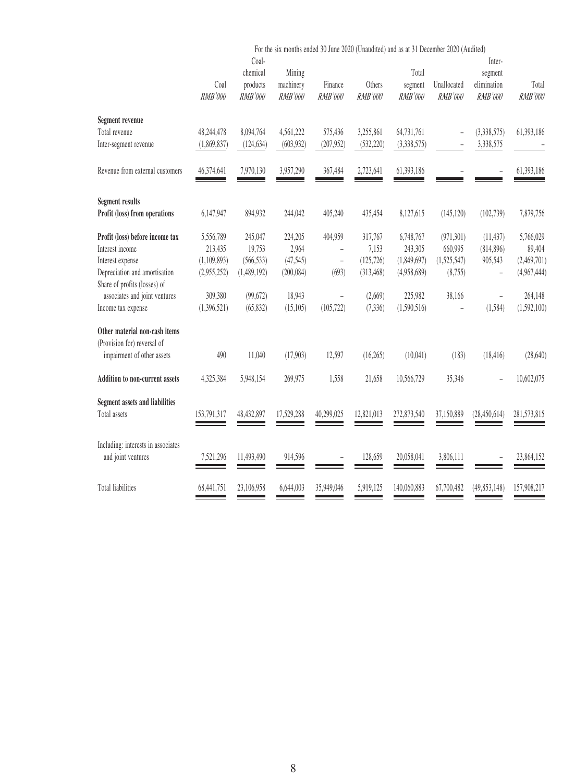|                                                               |                        |                                          |                                       |                           |                          | For the six months ended 30 June 2020 (Unaudited) and as at 31 December 2020 (Audited) |                               |                                             |                         |
|---------------------------------------------------------------|------------------------|------------------------------------------|---------------------------------------|---------------------------|--------------------------|----------------------------------------------------------------------------------------|-------------------------------|---------------------------------------------|-------------------------|
|                                                               | Coal<br><b>RMB'000</b> | Coal-<br>chemical<br>products<br>RMB'000 | Mining<br>machinery<br><b>RMB'000</b> | Finance<br><b>RMB'000</b> | Others<br><b>RMB'000</b> | Total<br>segment<br>RMB'000                                                            | Unallocated<br><b>RMB'000</b> | Inter-<br>segment<br>elimination<br>RMB'000 | Total<br><b>RMB'000</b> |
| Segment revenue                                               |                        |                                          |                                       |                           |                          |                                                                                        |                               |                                             |                         |
| Total revenue                                                 | 48,244,478             | 8,094,764                                | 4,561,222                             | 575,436                   | 3,255,861                | 64,731,761                                                                             | L,                            | (3,338,575)                                 | 61,393,186              |
| Inter-segment revenue                                         | (1,869,837)            | (124, 634)                               | (603, 932)                            | (207, 952)                | (532, 220)               | (3,338,575)                                                                            | $\bar{ }$                     | 3,338,575                                   |                         |
| Revenue from external customers                               | 46,374,641             | 7,970,130                                | 3,957,290                             | 367,484                   | 2,723,641                | 61,393,186                                                                             |                               |                                             | 61,393,186              |
| <b>Segment results</b>                                        |                        |                                          |                                       |                           |                          |                                                                                        |                               |                                             |                         |
| Profit (loss) from operations                                 | 6,147,947              | 894,932                                  | 244,042                               | 405,240                   | 435,454                  | 8,127,615                                                                              | (145, 120)                    | (102, 739)                                  | 7,879,756               |
| Profit (loss) before income tax                               | 5,556,789              | 245,047                                  | 224,205                               | 404,959                   | 317,767                  | 6,748,767                                                                              | (971, 301)                    | (11, 437)                                   | 5,766,029               |
| Interest income                                               | 213,435                | 19,753                                   | 2,964                                 | L,                        | 7,153                    | 243,305                                                                                | 660,995                       | (814,896)                                   | 89,404                  |
| Interest expense                                              | (1,109,893)            | (566, 533)                               | (47,545)                              | $\frac{1}{2}$             | (125, 726)               | (1,849,697)                                                                            | (1,525,547)                   | 905,543                                     | (2,469,701)             |
| Depreciation and amortisation<br>Share of profits (losses) of | (2,955,252)            | (1,489,192)                              | (200, 084)                            | (693)                     | (313, 468)               | (4,958,689)                                                                            | (8,755)                       |                                             | (4,967,444)             |
| associates and joint ventures                                 | 309,380                | (99,672)                                 | 18,943                                | ÷,                        | (2,669)                  | 225,982                                                                                | 38,166                        | $\overline{\phantom{a}}$                    | 264,148                 |
| Income tax expense                                            | (1,396,521)            | (65, 832)                                | (15, 105)                             | (105, 722)                | (7, 336)                 | (1,590,516)                                                                            |                               | (1,584)                                     | (1,592,100)             |
| Other material non-cash items<br>(Provision for) reversal of  |                        |                                          |                                       |                           |                          |                                                                                        |                               |                                             |                         |
| impairment of other assets                                    | 490                    | 11,040                                   | (17,903)                              | 12,597                    | (16, 265)                | (10,041)                                                                               | (183)                         | (18, 416)                                   | (28, 640)               |
| <b>Addition to non-current assets</b>                         | 4,325,384              | 5,948,154                                | 269,975                               | 1,558                     | 21,658                   | 10,566,729                                                                             | 35,346                        |                                             | 10,602,075              |
| <b>Segment assets and liabilities</b>                         |                        |                                          |                                       |                           |                          |                                                                                        |                               |                                             |                         |
| Total assets                                                  | 153,791,317            | 48,432,897                               | 17,529,288                            | 40,299,025                | 12,821,013               | 272,873,540                                                                            | 37,150,889                    | (28, 450, 614)                              | 281,573,815             |
| Including: interests in associates<br>and joint ventures      | 7,521,296              | 11,493,490                               | 914,596                               |                           | 128,659                  | 20,058,041                                                                             | 3,806,111                     |                                             | 23,864,152              |
| <b>Total liabilities</b>                                      | 68,441,751             | 23,106,958                               | 6,644,003                             | 35,949,046                | 5,919,125                | 140,060,883                                                                            | 67,700,482                    | (49, 853, 148)                              | 157,908,217             |
|                                                               |                        |                                          |                                       |                           |                          |                                                                                        |                               |                                             |                         |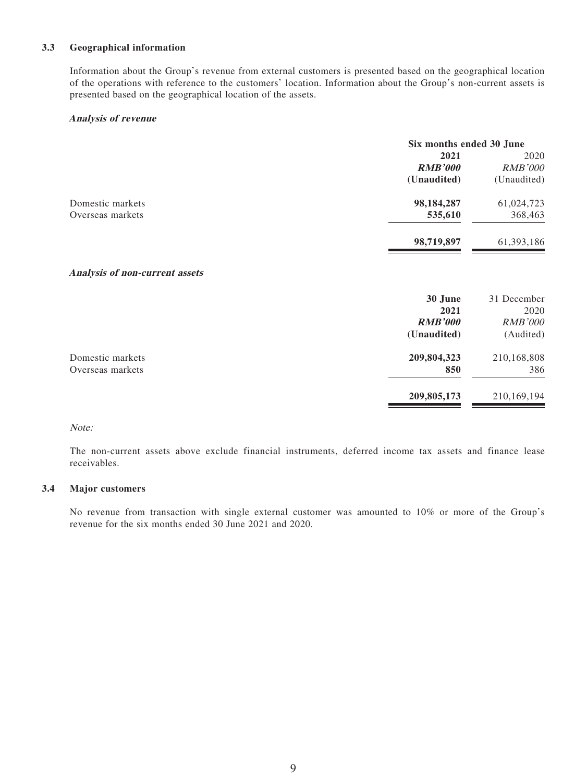#### **3.3 Geographical information**

Information about the Group's revenue from external customers is presented based on the geographical location of the operations with reference to the customers' location. Information about the Group's non-current assets is presented based on the geographical location of the assets.

#### **Analysis of revenue**

|                  | Six months ended 30 June |                |  |
|------------------|--------------------------|----------------|--|
|                  | 2021                     | 2020           |  |
|                  | <b>RMB'000</b>           | <b>RMB'000</b> |  |
|                  | (Unaudited)              | (Unaudited)    |  |
| Domestic markets | 98, 184, 287             | 61,024,723     |  |
| Overseas markets | 535,610                  | 368,463        |  |
|                  | 98,719,897               | 61,393,186     |  |

#### **Analysis of non-current assets**

|                  | 30 June<br>2021 | 31 December<br>2020 |
|------------------|-----------------|---------------------|
|                  | <b>RMB'000</b>  | <b>RMB'000</b>      |
|                  | (Unaudited)     | (Audited)           |
| Domestic markets | 209,804,323     | 210,168,808         |
| Overseas markets | 850             | 386                 |
|                  | 209,805,173     | 210,169,194         |

#### Note:

The non-current assets above exclude financial instruments, deferred income tax assets and finance lease receivables.

#### **3.4 Major customers**

No revenue from transaction with single external customer was amounted to 10% or more of the Group's revenue for the six months ended 30 June 2021 and 2020.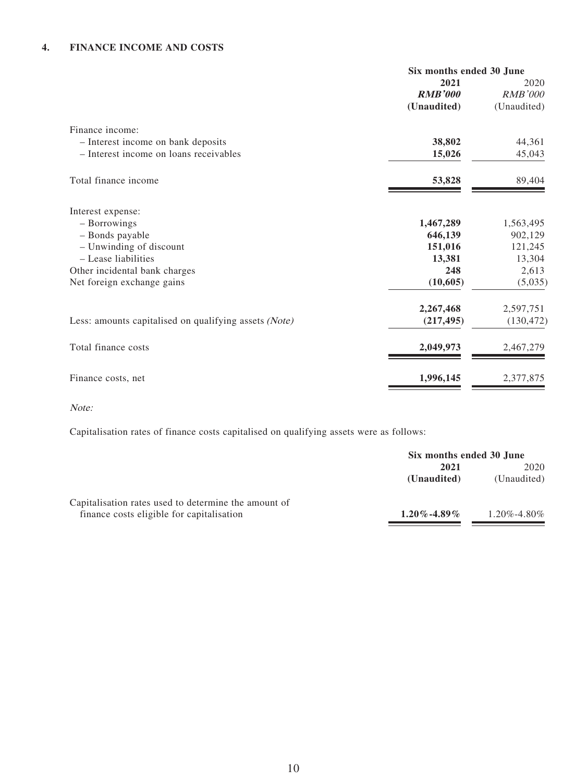|                                                       | Six months ended 30 June |                |  |
|-------------------------------------------------------|--------------------------|----------------|--|
|                                                       | 2021                     | 2020           |  |
|                                                       | <b>RMB'000</b>           | <b>RMB'000</b> |  |
|                                                       | (Unaudited)              | (Unaudited)    |  |
| Finance income:                                       |                          |                |  |
| - Interest income on bank deposits                    | 38,802                   | 44,361         |  |
| - Interest income on loans receivables                | 15,026                   | 45,043         |  |
| Total finance income                                  | 53,828                   | 89,404         |  |
| Interest expense:                                     |                          |                |  |
| - Borrowings                                          | 1,467,289                | 1,563,495      |  |
| - Bonds payable                                       | 646,139                  | 902,129        |  |
| - Unwinding of discount                               | 151,016                  | 121,245        |  |
| - Lease liabilities                                   | 13,381                   | 13,304         |  |
| Other incidental bank charges                         | 248                      | 2,613          |  |
| Net foreign exchange gains                            | (10, 605)                | (5,035)        |  |
|                                                       | 2,267,468                | 2,597,751      |  |
| Less: amounts capitalised on qualifying assets (Note) | (217, 495)               | (130, 472)     |  |
| Total finance costs                                   | 2,049,973                | 2,467,279      |  |
| Finance costs, net                                    | 1,996,145                | 2,377,875      |  |

Note:

Capitalisation rates of finance costs capitalised on qualifying assets were as follows:

|                                                      | Six months ended 30 June |                   |  |
|------------------------------------------------------|--------------------------|-------------------|--|
|                                                      | 2021                     | 2020              |  |
|                                                      | (Unaudited)              | (Unaudited)       |  |
| Capitalisation rates used to determine the amount of |                          |                   |  |
| finance costs eligible for capitalisation            | $1.20\% - 4.89\%$        | $1.20\% - 4.80\%$ |  |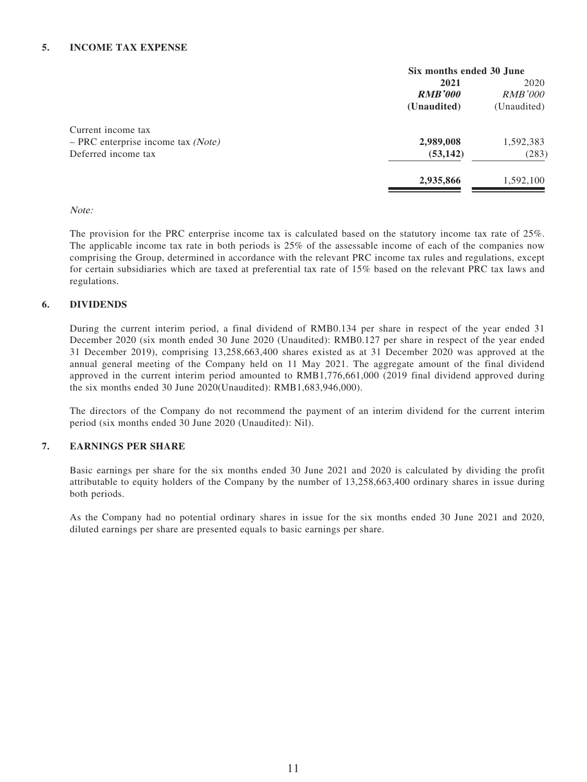|                                      | Six months ended 30 June |                |  |
|--------------------------------------|--------------------------|----------------|--|
|                                      | 2021                     | 2020           |  |
|                                      | <b>RMB'000</b>           | <i>RMB'000</i> |  |
|                                      | (Unaudited)              | (Unaudited)    |  |
| Current income tax                   |                          |                |  |
| $-$ PRC enterprise income tax (Note) | 2,989,008                | 1,592,383      |  |
| Deferred income tax                  | (53, 142)                | (283)          |  |
|                                      | 2,935,866                | 1,592,100      |  |
|                                      |                          |                |  |

#### Note:

The provision for the PRC enterprise income tax is calculated based on the statutory income tax rate of 25%. The applicable income tax rate in both periods is 25% of the assessable income of each of the companies now comprising the Group, determined in accordance with the relevant PRC income tax rules and regulations, except for certain subsidiaries which are taxed at preferential tax rate of 15% based on the relevant PRC tax laws and regulations.

#### **6. DIVIDENDS**

During the current interim period, a final dividend of RMB0.134 per share in respect of the year ended 31 December 2020 (six month ended 30 June 2020 (Unaudited): RMB0.127 per share in respect of the year ended 31 December 2019), comprising 13,258,663,400 shares existed as at 31 December 2020 was approved at the annual general meeting of the Company held on 11 May 2021. The aggregate amount of the final dividend approved in the current interim period amounted to RMB1,776,661,000 (2019 final dividend approved during the six months ended 30 June 2020(Unaudited): RMB1,683,946,000).

The directors of the Company do not recommend the payment of an interim dividend for the current interim period (six months ended 30 June 2020 (Unaudited): Nil).

#### **7. EARNINGS PER SHARE**

Basic earnings per share for the six months ended 30 June 2021 and 2020 is calculated by dividing the profit attributable to equity holders of the Company by the number of 13,258,663,400 ordinary shares in issue during both periods.

As the Company had no potential ordinary shares in issue for the six months ended 30 June 2021 and 2020, diluted earnings per share are presented equals to basic earnings per share.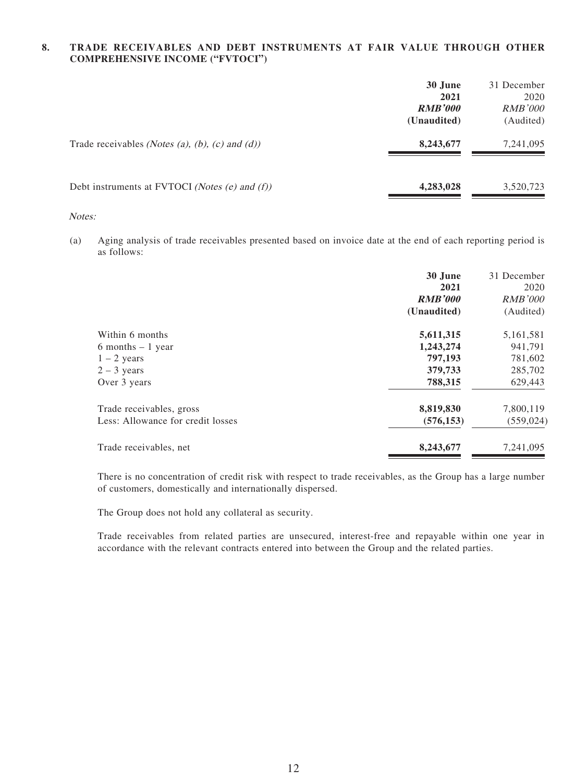#### **8. TRADE RECEIVABLES AND DEBT INSTRUMENTS AT FAIR VALUE THROUGH OTHER COMPREHENSIVE INCOME ("FVTOCI")**

|                                                 | 30 June<br>2021<br><b>RMB'000</b><br>(Unaudited) | 31 December<br>2020<br><b>RMB'000</b><br>(Audited) |
|-------------------------------------------------|--------------------------------------------------|----------------------------------------------------|
| Trade receivables (Notes (a), (b), (c) and (d)) | 8,243,677                                        | 7,241,095                                          |
| Debt instruments at FVTOCI (Notes (e) and (f))  | 4,283,028                                        | 3,520,723                                          |

#### Notes:

(a) Aging analysis of trade receivables presented based on invoice date at the end of each reporting period is as follows:

|                                   | 30 June<br>2021<br><b>RMB'000</b><br>(Unaudited) | 31 December<br>2020<br><b>RMB'000</b><br>(Audited) |
|-----------------------------------|--------------------------------------------------|----------------------------------------------------|
| Within 6 months                   | 5,611,315                                        | 5,161,581                                          |
| 6 months $-1$ year                | 1,243,274                                        | 941,791                                            |
| $1 - 2$ years                     | 797,193                                          | 781,602                                            |
| $2 - 3$ years                     | 379,733                                          | 285,702                                            |
| Over 3 years                      | 788,315                                          | 629,443                                            |
| Trade receivables, gross          | 8,819,830                                        | 7,800,119                                          |
| Less: Allowance for credit losses | (576, 153)                                       | (559, 024)                                         |
| Trade receivables, net            | 8,243,677                                        | 7,241,095                                          |

There is no concentration of credit risk with respect to trade receivables, as the Group has a large number of customers, domestically and internationally dispersed.

The Group does not hold any collateral as security.

Trade receivables from related parties are unsecured, interest-free and repayable within one year in accordance with the relevant contracts entered into between the Group and the related parties.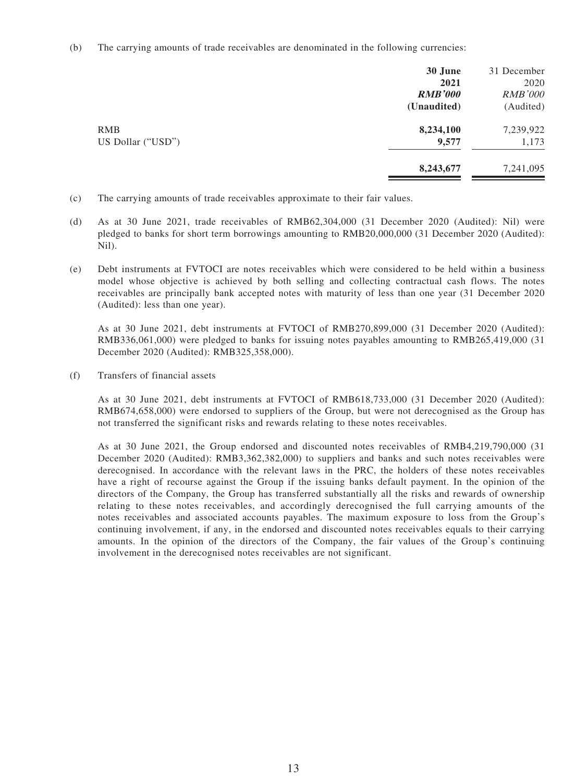(b) The carrying amounts of trade receivables are denominated in the following currencies:

|                   | 30 June        | 31 December    |
|-------------------|----------------|----------------|
|                   | 2021           | 2020           |
|                   | <b>RMB'000</b> | <b>RMB'000</b> |
|                   | (Unaudited)    | (Audited)      |
| <b>RMB</b>        | 8,234,100      | 7,239,922      |
| US Dollar ("USD") | 9,577          | 1,173          |
|                   | 8,243,677      | 7,241,095      |
|                   |                |                |

- (c) The carrying amounts of trade receivables approximate to their fair values.
- (d) As at 30 June 2021, trade receivables of RMB62,304,000 (31 December 2020 (Audited): Nil) were pledged to banks for short term borrowings amounting to RMB20,000,000 (31 December 2020 (Audited): Nil).
- (e) Debt instruments at FVTOCI are notes receivables which were considered to be held within a business model whose objective is achieved by both selling and collecting contractual cash flows. The notes receivables are principally bank accepted notes with maturity of less than one year (31 December 2020 (Audited): less than one year).

As at 30 June 2021, debt instruments at FVTOCI of RMB270,899,000 (31 December 2020 (Audited): RMB336,061,000) were pledged to banks for issuing notes payables amounting to RMB265,419,000 (31 December 2020 (Audited): RMB325,358,000).

(f) Transfers of financial assets

As at 30 June 2021, debt instruments at FVTOCI of RMB618,733,000 (31 December 2020 (Audited): RMB674,658,000) were endorsed to suppliers of the Group, but were not derecognised as the Group has not transferred the significant risks and rewards relating to these notes receivables.

As at 30 June 2021, the Group endorsed and discounted notes receivables of RMB4,219,790,000 (31 December 2020 (Audited): RMB3,362,382,000) to suppliers and banks and such notes receivables were derecognised. In accordance with the relevant laws in the PRC, the holders of these notes receivables have a right of recourse against the Group if the issuing banks default payment. In the opinion of the directors of the Company, the Group has transferred substantially all the risks and rewards of ownership relating to these notes receivables, and accordingly derecognised the full carrying amounts of the notes receivables and associated accounts payables. The maximum exposure to loss from the Group's continuing involvement, if any, in the endorsed and discounted notes receivables equals to their carrying amounts. In the opinion of the directors of the Company, the fair values of the Group's continuing involvement in the derecognised notes receivables are not significant.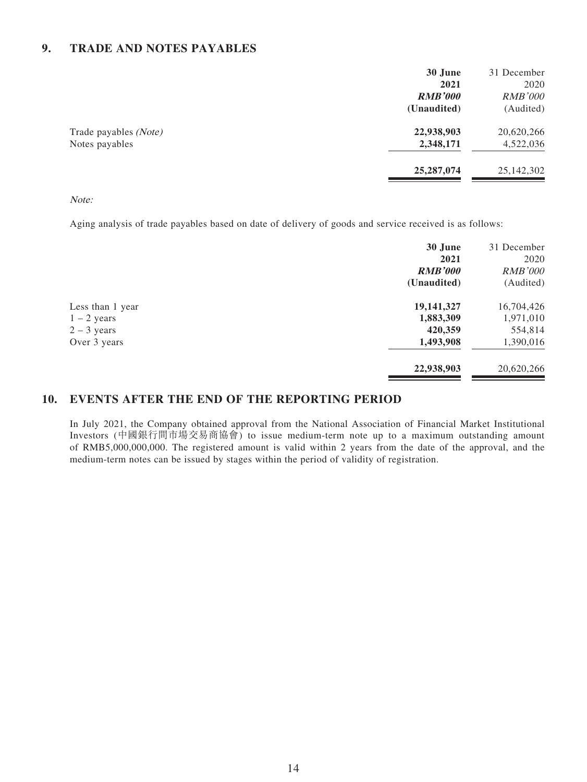## **9. TRADE AND NOTES PAYABLES**

|                                         | 30 June<br>2021<br><b>RMB'000</b><br>(Unaudited) | 31 December<br>2020<br><b>RMB'000</b><br>(Audited) |
|-----------------------------------------|--------------------------------------------------|----------------------------------------------------|
| Trade payables (Note)<br>Notes payables | 22,938,903<br>2,348,171                          | 20,620,266<br>4,522,036                            |
|                                         | 25, 287, 074                                     | 25,142,302                                         |

#### Note:

Aging analysis of trade payables based on date of delivery of goods and service received is as follows:

|                  | 30 June        | 31 December    |
|------------------|----------------|----------------|
|                  | 2021           | 2020           |
|                  | <b>RMB'000</b> | <i>RMB'000</i> |
|                  | (Unaudited)    | (Audited)      |
| Less than 1 year | 19,141,327     | 16,704,426     |
| $1 - 2$ years    | 1,883,309      | 1,971,010      |
| $2 - 3$ years    | 420,359        | 554,814        |
| Over 3 years     | 1,493,908      | 1,390,016      |
|                  | 22,938,903     | 20,620,266     |

### **10. EVENTS AFTER THE END OF THE REPORTING PERIOD**

In July 2021, the Company obtained approval from the National Association of Financial Market Institutional Investors (中國銀行間市場交易商協會) to issue medium-term note up to a maximum outstanding amount of RMB5,000,000,000. The registered amount is valid within 2 years from the date of the approval, and the medium-term notes can be issued by stages within the period of validity of registration.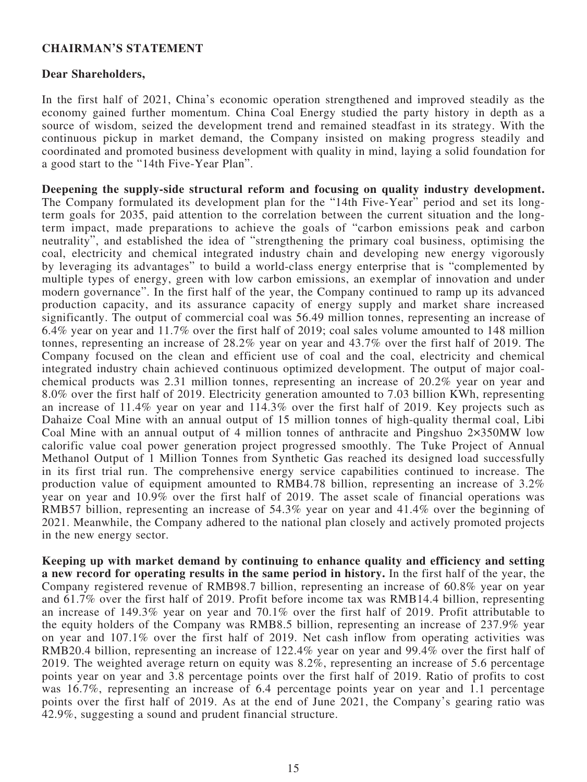#### **CHAIRMAN'S STATEMENT**

#### **Dear Shareholders,**

In the first half of 2021, China's economic operation strengthened and improved steadily as the economy gained further momentum. China Coal Energy studied the party history in depth as a source of wisdom, seized the development trend and remained steadfast in its strategy. With the continuous pickup in market demand, the Company insisted on making progress steadily and coordinated and promoted business development with quality in mind, laying a solid foundation for a good start to the "14th Five-Year Plan".

**Deepening the supply-side structural reform and focusing on quality industry development.** The Company formulated its development plan for the "14th Five-Year" period and set its longterm goals for 2035, paid attention to the correlation between the current situation and the longterm impact, made preparations to achieve the goals of "carbon emissions peak and carbon neutrality", and established the idea of "strengthening the primary coal business, optimising the coal, electricity and chemical integrated industry chain and developing new energy vigorously by leveraging its advantages" to build a world-class energy enterprise that is "complemented by multiple types of energy, green with low carbon emissions, an exemplar of innovation and under modern governance". In the first half of the year, the Company continued to ramp up its advanced production capacity, and its assurance capacity of energy supply and market share increased significantly. The output of commercial coal was 56.49 million tonnes, representing an increase of 6.4% year on year and 11.7% over the first half of 2019; coal sales volume amounted to 148 million tonnes, representing an increase of 28.2% year on year and 43.7% over the first half of 2019. The Company focused on the clean and efficient use of coal and the coal, electricity and chemical integrated industry chain achieved continuous optimized development. The output of major coalchemical products was 2.31 million tonnes, representing an increase of 20.2% year on year and 8.0% over the first half of 2019. Electricity generation amounted to 7.03 billion KWh, representing an increase of 11.4% year on year and 114.3% over the first half of 2019. Key projects such as Dahaize Coal Mine with an annual output of 15 million tonnes of high-quality thermal coal, Libi Coal Mine with an annual output of 4 million tonnes of anthracite and Pingshuo 2×350MW low calorific value coal power generation project progressed smoothly. The Tuke Project of Annual Methanol Output of 1 Million Tonnes from Synthetic Gas reached its designed load successfully in its first trial run. The comprehensive energy service capabilities continued to increase. The production value of equipment amounted to RMB4.78 billion, representing an increase of  $3.2\%$ year on year and 10.9% over the first half of 2019. The asset scale of financial operations was RMB57 billion, representing an increase of 54.3% year on year and 41.4% over the beginning of 2021. Meanwhile, the Company adhered to the national plan closely and actively promoted projects in the new energy sector.

**Keeping up with market demand by continuing to enhance quality and efficiency and setting a new record for operating results in the same period in history.** In the first half of the year, the Company registered revenue of RMB98.7 billion, representing an increase of 60.8% year on year and 61.7% over the first half of 2019. Profit before income tax was RMB14.4 billion, representing an increase of 149.3% year on year and 70.1% over the first half of 2019. Profit attributable to the equity holders of the Company was RMB8.5 billion, representing an increase of 237.9% year on year and 107.1% over the first half of 2019. Net cash inflow from operating activities was RMB20.4 billion, representing an increase of 122.4% year on year and 99.4% over the first half of 2019. The weighted average return on equity was 8.2%, representing an increase of 5.6 percentage points year on year and 3.8 percentage points over the first half of 2019. Ratio of profits to cost was 16.7%, representing an increase of 6.4 percentage points year on year and 1.1 percentage points over the first half of 2019. As at the end of June 2021, the Company's gearing ratio was 42.9%, suggesting a sound and prudent financial structure.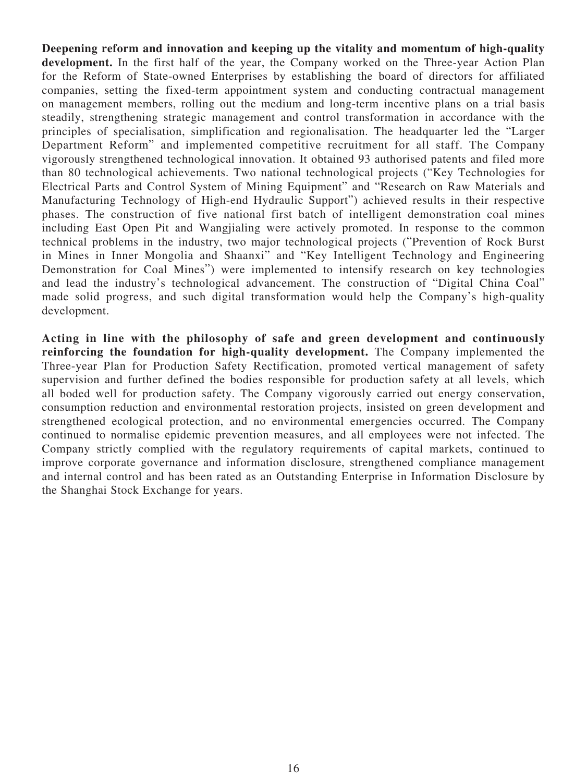**Deepening reform and innovation and keeping up the vitality and momentum of high-quality development.** In the first half of the year, the Company worked on the Three-year Action Plan for the Reform of State-owned Enterprises by establishing the board of directors for affiliated companies, setting the fixed-term appointment system and conducting contractual management on management members, rolling out the medium and long-term incentive plans on a trial basis steadily, strengthening strategic management and control transformation in accordance with the principles of specialisation, simplification and regionalisation. The headquarter led the "Larger Department Reform" and implemented competitive recruitment for all staff. The Company vigorously strengthened technological innovation. It obtained 93 authorised patents and filed more than 80 technological achievements. Two national technological projects ("Key Technologies for Electrical Parts and Control System of Mining Equipment" and "Research on Raw Materials and Manufacturing Technology of High-end Hydraulic Support") achieved results in their respective phases. The construction of five national first batch of intelligent demonstration coal mines including East Open Pit and Wangjialing were actively promoted. In response to the common technical problems in the industry, two major technological projects ("Prevention of Rock Burst in Mines in Inner Mongolia and Shaanxi" and "Key Intelligent Technology and Engineering Demonstration for Coal Mines") were implemented to intensify research on key technologies and lead the industry's technological advancement. The construction of "Digital China Coal" made solid progress, and such digital transformation would help the Company's high-quality development.

**Acting in line with the philosophy of safe and green development and continuously reinforcing the foundation for high-quality development.** The Company implemented the Three-year Plan for Production Safety Rectification, promoted vertical management of safety supervision and further defined the bodies responsible for production safety at all levels, which all boded well for production safety. The Company vigorously carried out energy conservation, consumption reduction and environmental restoration projects, insisted on green development and strengthened ecological protection, and no environmental emergencies occurred. The Company continued to normalise epidemic prevention measures, and all employees were not infected. The Company strictly complied with the regulatory requirements of capital markets, continued to improve corporate governance and information disclosure, strengthened compliance management and internal control and has been rated as an Outstanding Enterprise in Information Disclosure by the Shanghai Stock Exchange for years.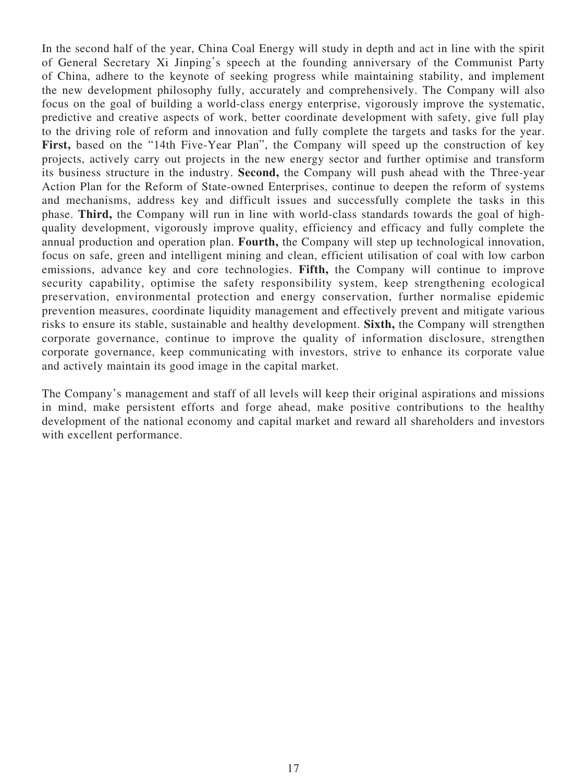In the second half of the year, China Coal Energy will study in depth and act in line with the spirit of General Secretary Xi Jinping's speech at the founding anniversary of the Communist Party of China, adhere to the keynote of seeking progress while maintaining stability, and implement the new development philosophy fully, accurately and comprehensively. The Company will also focus on the goal of building a world-class energy enterprise, vigorously improve the systematic, predictive and creative aspects of work, better coordinate development with safety, give full play to the driving role of reform and innovation and fully complete the targets and tasks for the year. First, based on the "14th Five-Year Plan", the Company will speed up the construction of key projects, actively carry out projects in the new energy sector and further optimise and transform its business structure in the industry. **Second,** the Company will push ahead with the Three-year Action Plan for the Reform of State-owned Enterprises, continue to deepen the reform of systems and mechanisms, address key and difficult issues and successfully complete the tasks in this phase. **Third,** the Company will run in line with world-class standards towards the goal of highquality development, vigorously improve quality, efficiency and efficacy and fully complete the annual production and operation plan. **Fourth,** the Company will step up technological innovation, focus on safe, green and intelligent mining and clean, efficient utilisation of coal with low carbon emissions, advance key and core technologies. **Fifth,** the Company will continue to improve security capability, optimise the safety responsibility system, keep strengthening ecological preservation, environmental protection and energy conservation, further normalise epidemic prevention measures, coordinate liquidity management and effectively prevent and mitigate various risks to ensure its stable, sustainable and healthy development. **Sixth,** the Company will strengthen corporate governance, continue to improve the quality of information disclosure, strengthen corporate governance, keep communicating with investors, strive to enhance its corporate value and actively maintain its good image in the capital market.

The Company's management and staff of all levels will keep their original aspirations and missions in mind, make persistent efforts and forge ahead, make positive contributions to the healthy development of the national economy and capital market and reward all shareholders and investors with excellent performance.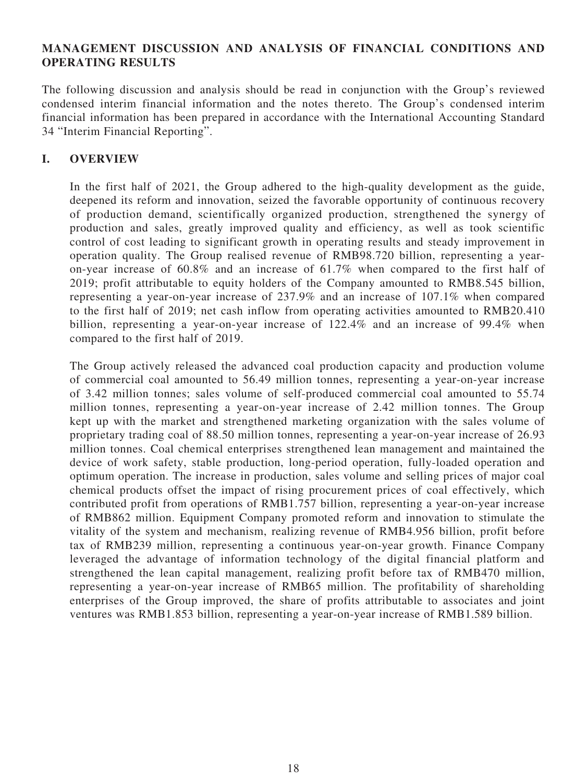### **MANAGEMENT DISCUSSION AND ANALYSIS OF FINANCIAL CONDITIONS AND OPERATING RESULTS**

The following discussion and analysis should be read in conjunction with the Group's reviewed condensed interim financial information and the notes thereto. The Group's condensed interim financial information has been prepared in accordance with the International Accounting Standard 34 "Interim Financial Reporting".

### **I. OVERVIEW**

In the first half of 2021, the Group adhered to the high-quality development as the guide, deepened its reform and innovation, seized the favorable opportunity of continuous recovery of production demand, scientifically organized production, strengthened the synergy of production and sales, greatly improved quality and efficiency, as well as took scientific control of cost leading to significant growth in operating results and steady improvement in operation quality. The Group realised revenue of RMB98.720 billion, representing a yearon-year increase of 60.8% and an increase of 61.7% when compared to the first half of 2019; profit attributable to equity holders of the Company amounted to RMB8.545 billion, representing a year-on-year increase of 237.9% and an increase of 107.1% when compared to the first half of 2019; net cash inflow from operating activities amounted to RMB20.410 billion, representing a year-on-year increase of 122.4% and an increase of 99.4% when compared to the first half of 2019.

The Group actively released the advanced coal production capacity and production volume of commercial coal amounted to 56.49 million tonnes, representing a year-on-year increase of 3.42 million tonnes; sales volume of self-produced commercial coal amounted to 55.74 million tonnes, representing a year-on-year increase of 2.42 million tonnes. The Group kept up with the market and strengthened marketing organization with the sales volume of proprietary trading coal of 88.50 million tonnes, representing a year-on-year increase of 26.93 million tonnes. Coal chemical enterprises strengthened lean management and maintained the device of work safety, stable production, long-period operation, fully-loaded operation and optimum operation. The increase in production, sales volume and selling prices of major coal chemical products offset the impact of rising procurement prices of coal effectively, which contributed profit from operations of RMB1.757 billion, representing a year-on-year increase of RMB862 million. Equipment Company promoted reform and innovation to stimulate the vitality of the system and mechanism, realizing revenue of RMB4.956 billion, profit before tax of RMB239 million, representing a continuous year-on-year growth. Finance Company leveraged the advantage of information technology of the digital financial platform and strengthened the lean capital management, realizing profit before tax of RMB470 million, representing a year-on-year increase of RMB65 million. The profitability of shareholding enterprises of the Group improved, the share of profits attributable to associates and joint ventures was RMB1.853 billion, representing a year-on-year increase of RMB1.589 billion.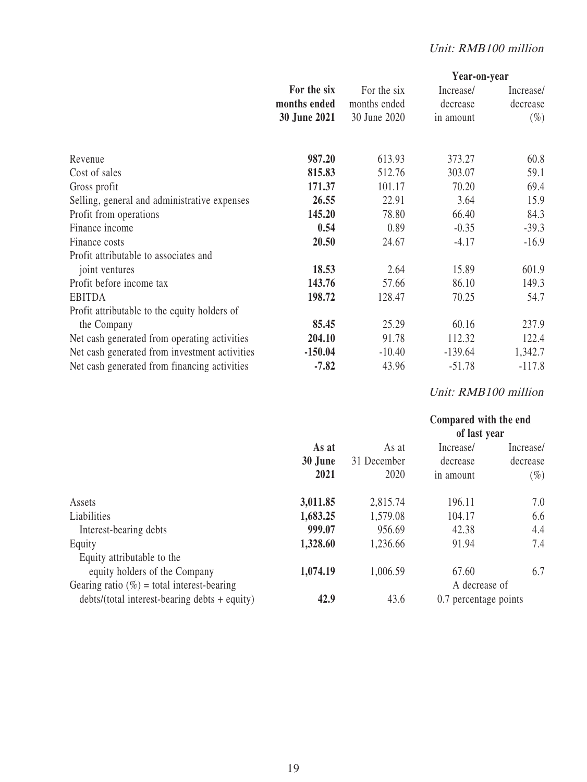|                                               |                     |              | Year-on-year |           |  |
|-----------------------------------------------|---------------------|--------------|--------------|-----------|--|
|                                               | For the six         | For the six  | Increase/    | Increase/ |  |
|                                               | months ended        | months ended | decrease     | decrease  |  |
|                                               | <b>30 June 2021</b> | 30 June 2020 | in amount    | $(\%)$    |  |
| Revenue                                       | 987.20              | 613.93       | 373.27       | 60.8      |  |
| Cost of sales                                 | 815.83              | 512.76       | 303.07       | 59.1      |  |
| Gross profit                                  | 171.37              | 101.17       | 70.20        | 69.4      |  |
| Selling, general and administrative expenses  | 26.55               | 22.91        | 3.64         | 15.9      |  |
| Profit from operations                        | 145.20              | 78.80        | 66.40        | 84.3      |  |
| Finance income                                | 0.54                | 0.89         | $-0.35$      | $-39.3$   |  |
| Finance costs                                 | 20.50               | 24.67        | $-4.17$      | $-16.9$   |  |
| Profit attributable to associates and         |                     |              |              |           |  |
| joint ventures                                | 18.53               | 2.64         | 15.89        | 601.9     |  |
| Profit before income tax                      | 143.76              | 57.66        | 86.10        | 149.3     |  |
| <b>EBITDA</b>                                 | 198.72              | 128.47       | 70.25        | 54.7      |  |
| Profit attributable to the equity holders of  |                     |              |              |           |  |
| the Company                                   | 85.45               | 25.29        | 60.16        | 237.9     |  |
| Net cash generated from operating activities  | 204.10              | 91.78        | 112.32       | 122.4     |  |
| Net cash generated from investment activities | $-150.04$           | $-10.40$     | $-139.64$    | 1,342.7   |  |
| Net cash generated from financing activities  | $-7.82$             | 43.96        | $-51.78$     | $-117.8$  |  |
|                                               |                     |              |              |           |  |

# Unit: RMB100 million

|                                                 |                  |             | Compared with the end<br>of last year |           |
|-------------------------------------------------|------------------|-------------|---------------------------------------|-----------|
|                                                 | As at<br>30 June | As at       | Increase/                             | Increase/ |
|                                                 |                  | 31 December | decrease                              | decrease  |
|                                                 | 2021             | 2020        | in amount                             | $(\%)$    |
| Assets                                          | 3,011.85         | 2,815.74    | 196.11                                | 7.0       |
| Liabilities                                     | 1,683.25         | 1,579.08    | 104.17                                | 6.6       |
| Interest-bearing debts                          | 999.07           | 956.69      | 42.38                                 | 4.4       |
| Equity                                          | 1,328.60         | 1,236.66    | 91.94                                 | 7.4       |
| Equity attributable to the                      |                  |             |                                       |           |
| equity holders of the Company                   | 1,074.19         | 1,006.59    | 67.60                                 | 6.7       |
| Gearing ratio $(\%)$ = total interest-bearing   |                  |             | A decrease of                         |           |
| $debts/(total interest-bearing debts + equity)$ | 42.9             | 43.6        | 0.7 percentage points                 |           |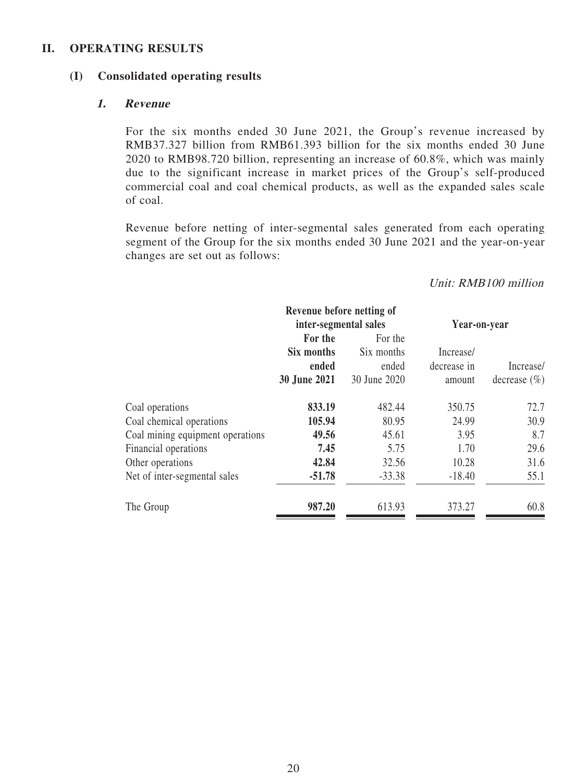#### **II. OPERATING RESULTS**

#### **(I) Consolidated operating results**

#### **1. Revenue**

For the six months ended 30 June 2021, the Group's revenue increased by RMB37.327 billion from RMB61.393 billion for the six months ended 30 June 2020 to RMB98.720 billion, representing an increase of 60.8%, which was mainly due to the significant increase in market prices of the Group's self-produced commercial coal and coal chemical products, as well as the expanded sales scale of coal.

Revenue before netting of inter-segmental sales generated from each operating segment of the Group for the six months ended 30 June 2021 and the year-on-year changes are set out as follows:

### Unit: RMB100 million

|                     |              | Year-on-year                                       |                  |  |
|---------------------|--------------|----------------------------------------------------|------------------|--|
| For the             | For the      |                                                    |                  |  |
| Six months          | Six months   | Increase/                                          |                  |  |
| ended               | ended        | decrease in                                        | Increase/        |  |
| <b>30 June 2021</b> | 30 June 2020 | amount                                             | decrease $(\% )$ |  |
| 833.19              | 482.44       | 350.75                                             | 72.7             |  |
| 105.94              | 80.95        | 24.99                                              | 30.9             |  |
| 49.56               | 45.61        | 3.95                                               | 8.7              |  |
| 7.45                | 5.75         | 1.70                                               | 29.6             |  |
| 42.84               | 32.56        | 10.28                                              | 31.6             |  |
| $-51.78$            | $-33.38$     | $-18.40$                                           | 55.1             |  |
| 987.20              | 613.93       | 373.27                                             | 60.8             |  |
|                     |              | Revenue before netting of<br>inter-segmental sales |                  |  |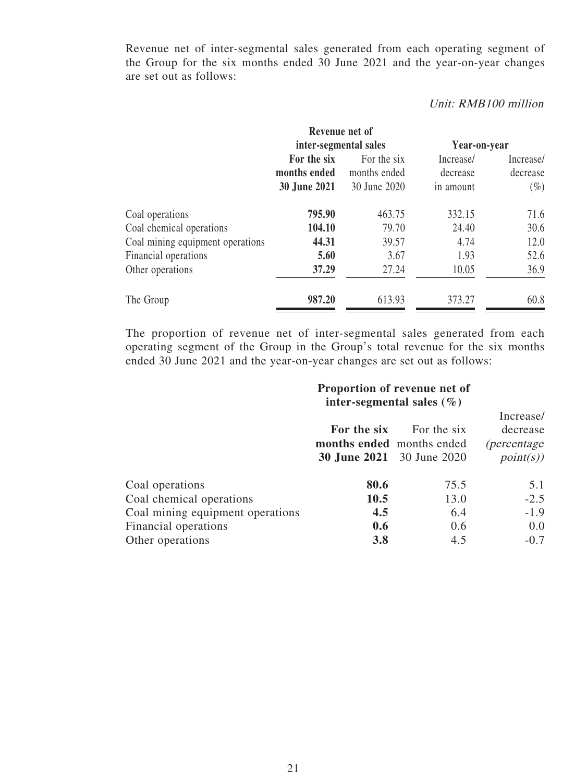Revenue net of inter-segmental sales generated from each operating segment of the Group for the six months ended 30 June 2021 and the year-on-year changes are set out as follows:

#### Unit: RMB100 million

|                                  | Revenue net of        |              |              |           |  |
|----------------------------------|-----------------------|--------------|--------------|-----------|--|
|                                  | inter-segmental sales |              | Year-on-year |           |  |
|                                  | For the six           | For the six  | Increase/    | Increase/ |  |
|                                  | months ended          | months ended | decrease     | decrease  |  |
|                                  | <b>30 June 2021</b>   | 30 June 2020 | in amount    | $(\%)$    |  |
| Coal operations                  | 795.90                | 463.75       | 332.15       | 71.6      |  |
| Coal chemical operations         | 104.10                | 79.70        | 24.40        | 30.6      |  |
| Coal mining equipment operations | 44.31                 | 39.57        | 4.74         | 12.0      |  |
| Financial operations             | 5.60                  | 3.67         | 1.93         | 52.6      |  |
| Other operations                 | 37.29                 | 27.24        | 10.05        | 36.9      |  |
| The Group                        | 987.20                | 613.93       | 373.27       | 60.8      |  |

The proportion of revenue net of inter-segmental sales generated from each operating segment of the Group in the Group's total revenue for the six months ended 30 June 2021 and the year-on-year changes are set out as follows:

|                                  |                                          | Proportion of revenue net of<br>inter-segmental sales $(\% )$ |                                                          |  |  |
|----------------------------------|------------------------------------------|---------------------------------------------------------------|----------------------------------------------------------|--|--|
|                                  | For the six<br>months ended months ended | For the six<br><b>30 June 2021</b> 30 June 2020               | Increase/<br>decrease<br><i>(percentage)</i><br>point(s) |  |  |
| Coal operations                  | 80.6                                     | 75.5                                                          | 5.1                                                      |  |  |
| Coal chemical operations         | 10.5                                     | 13.0                                                          | $-2.5$                                                   |  |  |
| Coal mining equipment operations | 4.5                                      | 6.4                                                           | $-1.9$                                                   |  |  |
| Financial operations             | 0.6                                      | 0.6                                                           | 0.0                                                      |  |  |
| Other operations                 | 3.8                                      | 4.5                                                           | $-0.7$                                                   |  |  |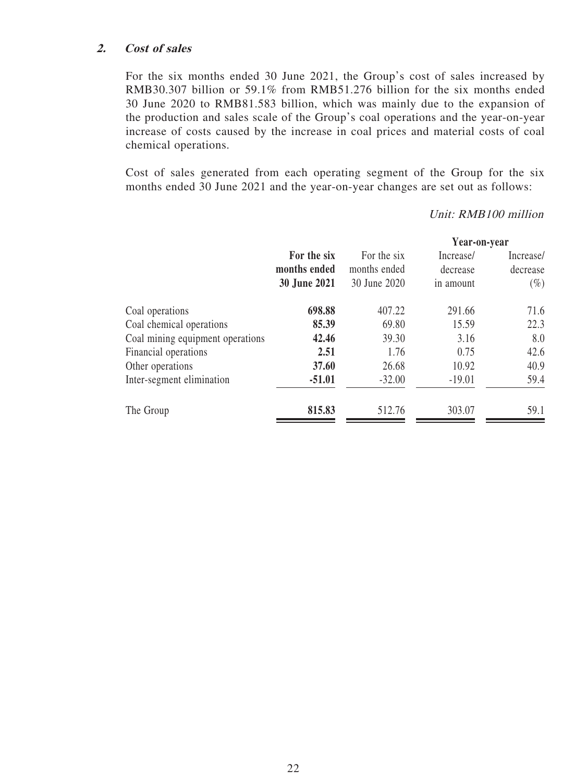#### **2. Cost of sales**

For the six months ended 30 June 2021, the Group's cost of sales increased by RMB30.307 billion or 59.1% from RMB51.276 billion for the six months ended 30 June 2020 to RMB81.583 billion, which was mainly due to the expansion of the production and sales scale of the Group's coal operations and the year-on-year increase of costs caused by the increase in coal prices and material costs of coal chemical operations.

Cost of sales generated from each operating segment of the Group for the six months ended 30 June 2021 and the year-on-year changes are set out as follows:

#### Unit: RMB100 million

|                                  | For the six<br>months ended<br>30 June 2021<br>698.88<br>85.39<br>42.46<br>2.51<br>37.60<br>$-51.01$ |              | Year-on-year |           |  |
|----------------------------------|------------------------------------------------------------------------------------------------------|--------------|--------------|-----------|--|
|                                  |                                                                                                      | For the six  | Increase/    | Increase/ |  |
|                                  |                                                                                                      | months ended | decrease     | decrease  |  |
|                                  |                                                                                                      | 30 June 2020 | in amount    | $(\%)$    |  |
| Coal operations                  |                                                                                                      | 407.22       | 291.66       | 71.6      |  |
| Coal chemical operations         |                                                                                                      | 69.80        | 15.59        | 22.3      |  |
| Coal mining equipment operations |                                                                                                      | 39.30        | 3.16         | 8.0       |  |
| Financial operations             |                                                                                                      | 1.76         | 0.75         | 42.6      |  |
| Other operations                 |                                                                                                      | 26.68        | 10.92        | 40.9      |  |
| Inter-segment elimination        |                                                                                                      | $-32.00$     | $-19.01$     | 59.4      |  |
| The Group                        | 815.83                                                                                               | 512.76       | 303.07       | 59.1      |  |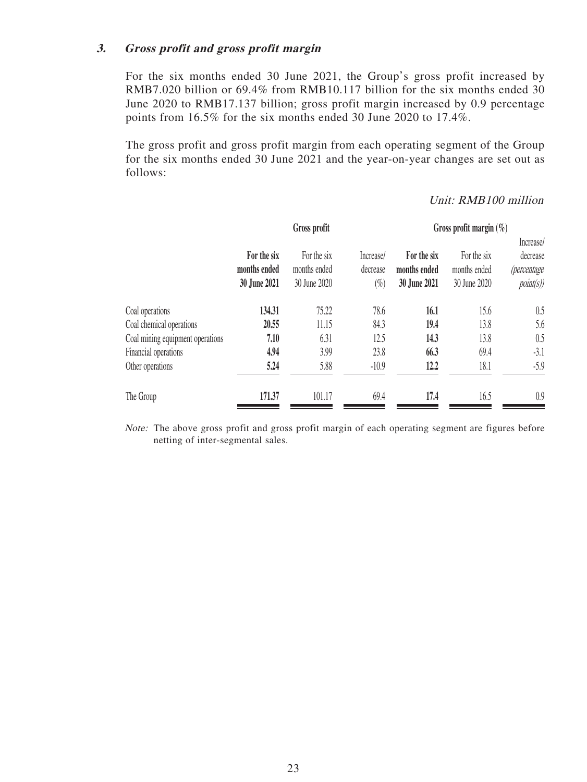#### **3. Gross profit and gross profit margin**

For the six months ended 30 June 2021, the Group's gross profit increased by RMB7.020 billion or 69.4% from RMB10.117 billion for the six months ended 30 June 2020 to RMB17.137 billion; gross profit margin increased by 0.9 percentage points from 16.5% for the six months ended 30 June 2020 to 17.4%.

The gross profit and gross profit margin from each operating segment of the Group for the six months ended 30 June 2021 and the year-on-year changes are set out as follows:

|                                  |                                             | Gross profit                                |                                 |                                             | Gross profit margin $(\%)$                  |                                                         |  |  |  |
|----------------------------------|---------------------------------------------|---------------------------------------------|---------------------------------|---------------------------------------------|---------------------------------------------|---------------------------------------------------------|--|--|--|
|                                  | For the six<br>months ended<br>30 June 2021 | For the six<br>months ended<br>30 June 2020 | Increase/<br>decrease<br>$(\%)$ | For the six<br>months ended<br>30 June 2021 | For the six<br>months ended<br>30 June 2020 | Increase/<br>decrease<br><i>(percentage</i><br>point(s) |  |  |  |
| Coal operations                  | 134.31                                      | 75.22                                       | 78.6                            | 16.1                                        | 15.6                                        | 0.5                                                     |  |  |  |
| Coal chemical operations         | 20.55                                       | 11.15                                       | 84.3                            | 19.4                                        | 13.8                                        | 5.6                                                     |  |  |  |
| Coal mining equipment operations | 7.10                                        | 6.31                                        | 12.5                            | 14.3                                        | 13.8                                        | 0.5                                                     |  |  |  |
| Financial operations             | 4.94                                        | 3.99                                        | 23.8                            | 66.3                                        | 69.4                                        | $-3.1$                                                  |  |  |  |
| Other operations                 | 5.24                                        | 5.88                                        | $-10.9$                         | 12.2                                        | 18.1                                        | $-5.9$                                                  |  |  |  |
| The Group                        | 171.37                                      | 101.17                                      | 69.4                            | 17.4                                        | 16.5                                        | 0.9                                                     |  |  |  |

# Unit: RMB100 million

Note: The above gross profit and gross profit margin of each operating segment are figures before netting of inter-segmental sales.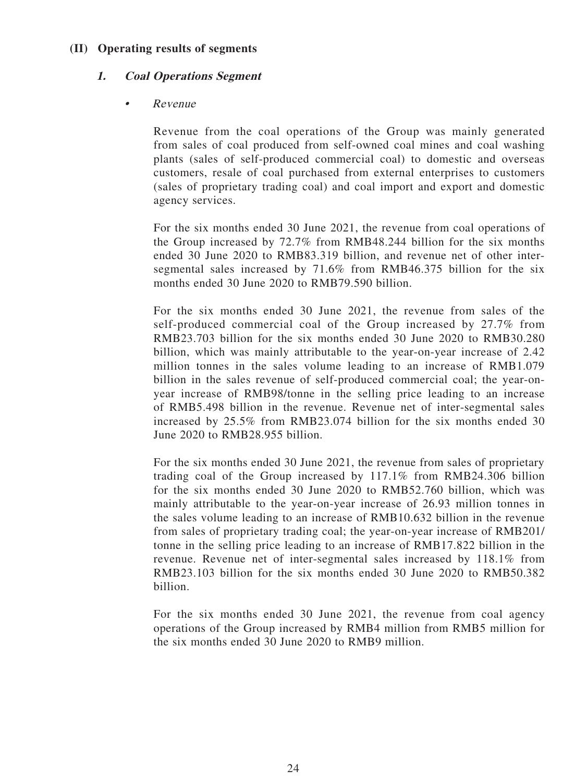### **(II) Operating results of segments**

### **1. Coal Operations Segment**

## • Revenue

Revenue from the coal operations of the Group was mainly generated from sales of coal produced from self-owned coal mines and coal washing plants (sales of self-produced commercial coal) to domestic and overseas customers, resale of coal purchased from external enterprises to customers (sales of proprietary trading coal) and coal import and export and domestic agency services.

For the six months ended 30 June 2021, the revenue from coal operations of the Group increased by 72.7% from RMB48.244 billion for the six months ended 30 June 2020 to RMB83.319 billion, and revenue net of other intersegmental sales increased by 71.6% from RMB46.375 billion for the six months ended 30 June 2020 to RMB79.590 billion.

For the six months ended 30 June 2021, the revenue from sales of the self-produced commercial coal of the Group increased by 27.7% from RMB23.703 billion for the six months ended 30 June 2020 to RMB30.280 billion, which was mainly attributable to the year-on-year increase of 2.42 million tonnes in the sales volume leading to an increase of RMB1.079 billion in the sales revenue of self-produced commercial coal; the year-onyear increase of RMB98/tonne in the selling price leading to an increase of RMB5.498 billion in the revenue. Revenue net of inter-segmental sales increased by 25.5% from RMB23.074 billion for the six months ended 30 June 2020 to RMB28.955 billion.

For the six months ended 30 June 2021, the revenue from sales of proprietary trading coal of the Group increased by 117.1% from RMB24.306 billion for the six months ended 30 June 2020 to RMB52.760 billion, which was mainly attributable to the year-on-year increase of 26.93 million tonnes in the sales volume leading to an increase of RMB10.632 billion in the revenue from sales of proprietary trading coal; the year-on-year increase of RMB201/ tonne in the selling price leading to an increase of RMB17.822 billion in the revenue. Revenue net of inter-segmental sales increased by 118.1% from RMB23.103 billion for the six months ended 30 June 2020 to RMB50.382 billion.

For the six months ended 30 June 2021, the revenue from coal agency operations of the Group increased by RMB4 million from RMB5 million for the six months ended 30 June 2020 to RMB9 million.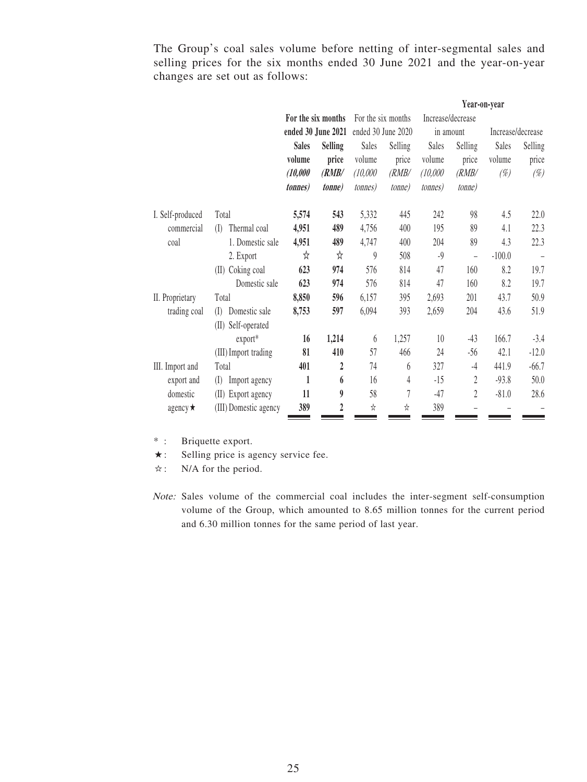The Group's coal sales volume before netting of inter-segmental sales and selling prices for the six months ended 30 June 2021 and the year-on-year changes are set out as follows:

|                  |                       |                 |                    |                    | Year-on-year       |                 |                   |          |                   |
|------------------|-----------------------|-----------------|--------------------|--------------------|--------------------|-----------------|-------------------|----------|-------------------|
|                  |                       |                 | For the six months |                    | For the six months |                 | Increase/decrease |          |                   |
|                  |                       |                 | ended 30 June 2021 | ended 30 June 2020 |                    |                 | in amount         |          | Increase/decrease |
|                  |                       | <b>Sales</b>    | <b>Selling</b>     | Sales              | Selling            | Sales           | Selling           | Sales    | Selling           |
|                  |                       | volume          | price              | volume             | price              | volume          | price             | volume   | price             |
|                  |                       | (10,000)        | (RMB/              | (10,000)           | (RMB/              | (10,000)        | (RMB/             | $(\%)$   | $(\%)$            |
|                  |                       | <i>tonnes</i> ) | <i>tonne</i>       | <i>tonnes</i> )    | <i>tonne</i> )     | <i>tonnes</i> ) | <i>tonne</i> )    |          |                   |
| I. Self-produced | Total                 | 5,574           | 543                | 5,332              | 445                | 242             | 98                | 4.5      | 22.0              |
| commercial       | Thermal coal<br>(I)   | 4,951           | 489                | 4,756              | 400                | 195             | 89                | 4.1      | 22.3              |
| coal             | 1. Domestic sale      | 4,951           | 489                | 4,747              | 400                | 204             | 89                | 4.3      | 22.3              |
|                  | 2. Export             | ☆               | ☆                  | 9                  | 508                | $-9$            | $\overline{a}$    | $-100.0$ | $\qquad \qquad -$ |
|                  | (II) Coking coal      | 623             | 974                | 576                | 814                | 47              | 160               | 8.2      | 19.7              |
|                  | Domestic sale         | 623             | 974                | 576                | 814                | 47              | 160               | 8.2      | 19.7              |
| II. Proprietary  | Total                 | 8,850           | 596                | 6,157              | 395                | 2,693           | 201               | 43.7     | 50.9              |
| trading coal     | Domestic sale<br>(    | 8,753           | 597                | 6,094              | 393                | 2,659           | 204               | 43.6     | 51.9              |
|                  | (II) Self-operated    |                 |                    |                    |                    |                 |                   |          |                   |
|                  | export*               | 16              | 1,214              | 6                  | 1,257              | 10              | $-43$             | 166.7    | $-3.4$            |
|                  | (III) Import trading  | 81              | 410                | 57                 | 466                | 24              | $-56$             | 42.1     | $-12.0$           |
| III. Import and  | Total                 | 401             | $\overline{2}$     | 74                 | 6                  | 327             | $-4$              | 441.9    | $-66.7$           |
| export and       | (I)<br>Import agency  | $\mathbf{1}$    | 6                  | 16                 | 4                  | $-15$           | 2                 | $-93.8$  | 50.0              |
| domestic         | (II) Export agency    | 11              | 9                  | 58                 | $\overline{7}$     | $-47$           | $\overline{2}$    | $-81.0$  | 28.6              |
| agency $\star$   | (III) Domestic agency | 389             | 2                  | ☆                  | ☆                  | 389             |                   |          |                   |

\* : Briquette export.

★: Selling price is agency service fee.

☆: N/A for the period.

Note: Sales volume of the commercial coal includes the inter-segment self-consumption volume of the Group, which amounted to 8.65 million tonnes for the current period and 6.30 million tonnes for the same period of last year.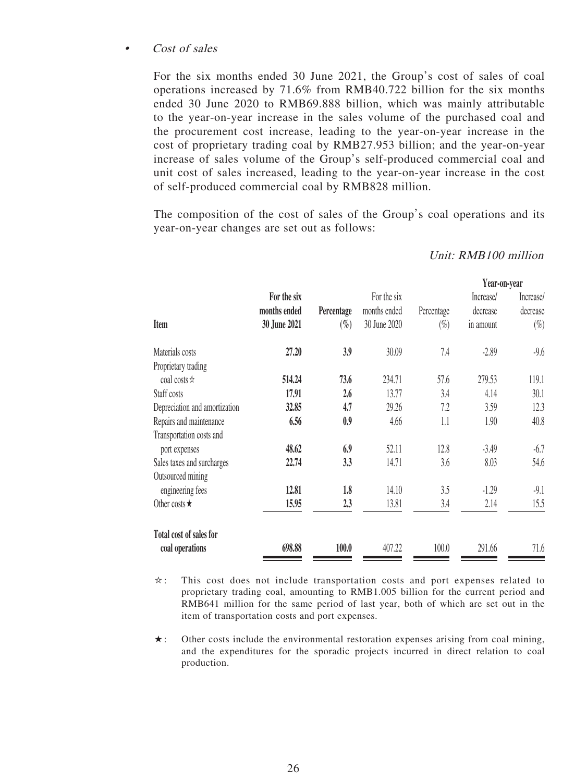#### • Cost of sales

For the six months ended 30 June 2021, the Group's cost of sales of coal operations increased by 71.6% from RMB40.722 billion for the six months ended 30 June 2020 to RMB69.888 billion, which was mainly attributable to the year-on-year increase in the sales volume of the purchased coal and the procurement cost increase, leading to the year-on-year increase in the cost of proprietary trading coal by RMB27.953 billion; and the year-on-year increase of sales volume of the Group's self-produced commercial coal and unit cost of sales increased, leading to the year-on-year increase in the cost of self-produced commercial coal by RMB828 million.

The composition of the cost of sales of the Group's coal operations and its year-on-year changes are set out as follows:

|                               |              |            |              |            | Year-on-year |           |
|-------------------------------|--------------|------------|--------------|------------|--------------|-----------|
|                               | For the six  |            | For the six  |            | Increase/    | Increase/ |
|                               | months ended | Percentage | months ended | Percentage | decrease     | decrease  |
| Item                          | 30 June 2021 | $(\%)$     | 30 June 2020 | $(\%)$     | in amount    | $(\%)$    |
| Materials costs               | 27.20        | 3.9        | 30.09        | 7.4        | $-2.89$      | $-9.6$    |
| Proprietary trading           |              |            |              |            |              |           |
| coal costs $\star$            | 514.24       | 73.6       | 234.71       | 57.6       | 279.53       | 119.1     |
| Staff costs                   | 17.91        | 2.6        | 13.77        | 3.4        | 4.14         | 30.1      |
| Depreciation and amortization | 32.85        | 4.7        | 29.26        | 7.2        | 3.59         | 12.3      |
| Repairs and maintenance       | 6.56         | 0.9        | 4.66         | 1.1        | 1.90         | 40.8      |
| Transportation costs and      |              |            |              |            |              |           |
| port expenses                 | 48.62        | 6.9        | 52.11        | 12.8       | $-3.49$      | $-6.7$    |
| Sales taxes and surcharges    | 22.74        | 3.3        | 14.71        | 3.6        | 8.03         | 54.6      |
| Outsourced mining             |              |            |              |            |              |           |
| engineering fees              | 12.81        | 1.8        | 14.10        | 3.5        | $-1.29$      | $-9.1$    |
| Other costs $\star$           | 15.95        | 2.3        | 13.81        | 3.4        | 2.14         | 15.5      |
| Total cost of sales for       |              |            |              |            |              |           |
| coal operations               | 698.88       | 100.0      | 407.22       | 100.0      | 291.66       | 71.6      |

Unit: RMB100 million

☆: This cost does not include transportation costs and port expenses related to proprietary trading coal, amounting to RMB1.005 billion for the current period and RMB641 million for the same period of last year, both of which are set out in the item of transportation costs and port expenses.

 $\star$ : Other costs include the environmental restoration expenses arising from coal mining, and the expenditures for the sporadic projects incurred in direct relation to coal production.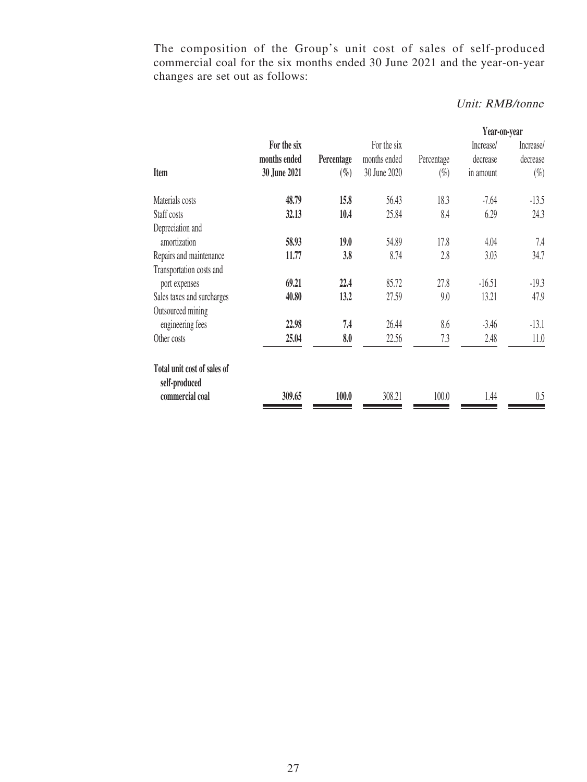The composition of the Group's unit cost of sales of self-produced commercial coal for the six months ended 30 June 2021 and the year-on-year changes are set out as follows:

# Unit: RMB/tonne

|                                              |              |            |              |            | Year-on-year |           |
|----------------------------------------------|--------------|------------|--------------|------------|--------------|-----------|
|                                              | For the six  |            | For the six  |            | Increase/    | Increase/ |
|                                              | months ended | Percentage | months ended | Percentage | decrease     | decrease  |
| <b>Item</b>                                  | 30 June 2021 | $(\%)$     | 30 June 2020 | $(\%)$     | in amount    | $(\%)$    |
| Materials costs                              | 48.79        | 15.8       | 56.43        | 18.3       | $-7.64$      | $-13.5$   |
| Staff costs                                  | 32.13        | 10.4       | 25.84        | 8.4        | 6.29         | 24.3      |
| Depreciation and                             |              |            |              |            |              |           |
| amortization                                 | 58.93        | 19.0       | 54.89        | 17.8       | 4.04         | 7.4       |
| Repairs and maintenance                      | 11.77        | 3.8        | 8.74         | 2.8        | 3.03         | 34.7      |
| Transportation costs and                     |              |            |              |            |              |           |
| port expenses                                | 69.21        | 22.4       | 85.72        | 27.8       | $-16.51$     | $-19.3$   |
| Sales taxes and surcharges                   | 40.80        | 13.2       | 27.59        | 9.0        | 13.21        | 47.9      |
| Outsourced mining                            |              |            |              |            |              |           |
| engineering fees                             | 22.98        | 7.4        | 26.44        | 8.6        | $-3.46$      | $-13.1$   |
| Other costs                                  | 25.04        | 8.0        | 22.56        | 7.3        | 2.48         | 11.0      |
| Total unit cost of sales of<br>self-produced |              |            |              |            |              |           |
| commercial coal                              | 309.65       | 100.0      | 308.21       | 100.0      | 1.44         | 0.5       |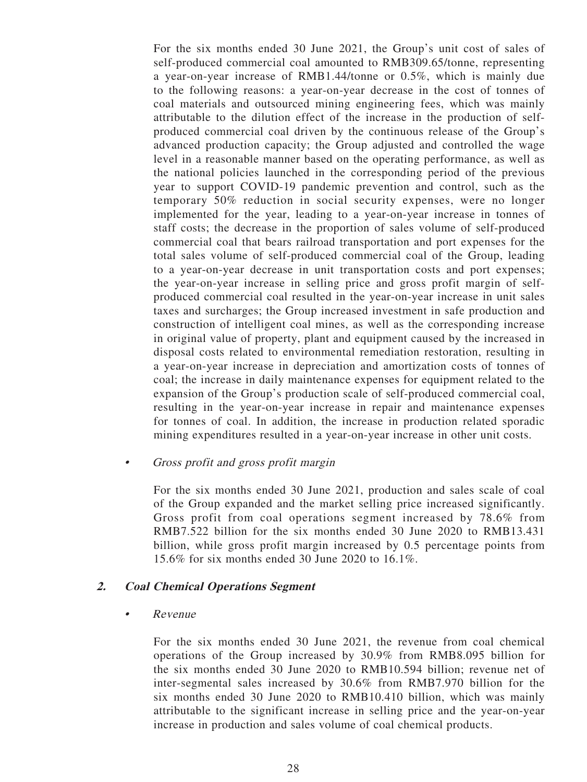For the six months ended 30 June 2021, the Group's unit cost of sales of self-produced commercial coal amounted to RMB309.65/tonne, representing a year-on-year increase of RMB1.44/tonne or 0.5%, which is mainly due to the following reasons: a year-on-year decrease in the cost of tonnes of coal materials and outsourced mining engineering fees, which was mainly attributable to the dilution effect of the increase in the production of selfproduced commercial coal driven by the continuous release of the Group's advanced production capacity; the Group adjusted and controlled the wage level in a reasonable manner based on the operating performance, as well as the national policies launched in the corresponding period of the previous year to support COVID-19 pandemic prevention and control, such as the temporary 50% reduction in social security expenses, were no longer implemented for the year, leading to a year-on-year increase in tonnes of staff costs; the decrease in the proportion of sales volume of self-produced commercial coal that bears railroad transportation and port expenses for the total sales volume of self-produced commercial coal of the Group, leading to a year-on-year decrease in unit transportation costs and port expenses; the year-on-year increase in selling price and gross profit margin of selfproduced commercial coal resulted in the year-on-year increase in unit sales taxes and surcharges; the Group increased investment in safe production and construction of intelligent coal mines, as well as the corresponding increase in original value of property, plant and equipment caused by the increased in disposal costs related to environmental remediation restoration, resulting in a year-on-year increase in depreciation and amortization costs of tonnes of coal; the increase in daily maintenance expenses for equipment related to the expansion of the Group's production scale of self-produced commercial coal, resulting in the year-on-year increase in repair and maintenance expenses for tonnes of coal. In addition, the increase in production related sporadic mining expenditures resulted in a year-on-year increase in other unit costs.

• Gross profit and gross profit margin

For the six months ended 30 June 2021, production and sales scale of coal of the Group expanded and the market selling price increased significantly. Gross profit from coal operations segment increased by 78.6% from RMB7.522 billion for the six months ended 30 June 2020 to RMB13.431 billion, while gross profit margin increased by 0.5 percentage points from 15.6% for six months ended 30 June 2020 to 16.1%.

#### **2. Coal Chemical Operations Segment**

• Revenue

For the six months ended 30 June 2021, the revenue from coal chemical operations of the Group increased by 30.9% from RMB8.095 billion for the six months ended 30 June 2020 to RMB10.594 billion; revenue net of inter-segmental sales increased by 30.6% from RMB7.970 billion for the six months ended 30 June 2020 to RMB10.410 billion, which was mainly attributable to the significant increase in selling price and the year-on-year increase in production and sales volume of coal chemical products.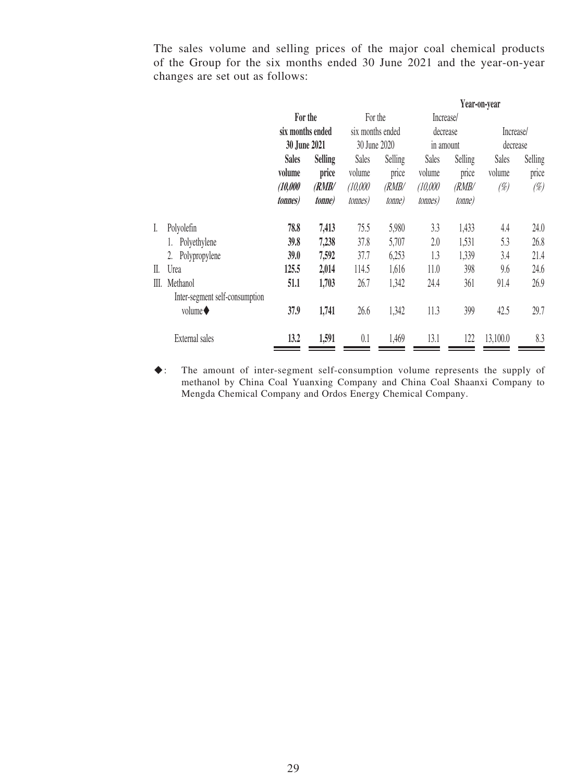The sales volume and selling prices of the major coal chemical products of the Group for the six months ended 30 June 2021 and the year-on-year changes are set out as follows:

|     |                                | For the                        |               | For the          |                | Increase/       |         |              |         |
|-----|--------------------------------|--------------------------------|---------------|------------------|----------------|-----------------|---------|--------------|---------|
|     |                                | six months ended               |               | six months ended |                | decrease        |         | Increase/    |         |
|     |                                | 30 June 2021                   |               | 30 June 2020     |                | in amount       |         | decrease     |         |
|     |                                | <b>Selling</b><br><b>Sales</b> |               | <b>Sales</b>     | <b>Selling</b> | <b>Sales</b>    | Selling | <b>Sales</b> | Selling |
|     |                                | volume                         | price         | volume           | price          | volume          | price   | volume       | price   |
|     |                                | (10,000)                       | (RMB/         | (10,000)         | (RMB/          | (10,000)        | (RMB/   | (%)          | (%)     |
|     |                                | <i>tonnes</i> )                | <i>tonne)</i> | <i>tonnes</i> )  | tonne)         | <i>tonnes</i> ) | tonne)  |              |         |
| L   | Polyolefin                     | 78.8                           | 7,413         | 75.5             | 5,980          | 3.3             | 1,433   | 4.4          | 24.0    |
|     | Polyethylene                   | 39.8                           | 7,238         | 37.8             | 5,707          | 2.0             | 1,531   | 5.3          | 26.8    |
|     | Polypropylene<br>2.            | 39.0                           | 7,592         | 37.7             | 6,253          | 1.3             | 1,339   | 3.4          | 21.4    |
| II. | Urea                           | 125.5                          | 2,014         | 114.5            | 1,616          | 11.0            | 398     | 9.6          | 24.6    |
| Ш.  | Methanol                       | 51.1                           | 1,703         | 26.7             | 1,342          | 24.4            | 361     | 91.4         | 26.9    |
|     | Inter-segment self-consumption |                                |               |                  |                |                 |         |              |         |
|     | volume $\blacklozenge$         | 37.9                           | 1,741         | 26.6             | 1,342          | 11.3            | 399     | 42.5         | 29.7    |
|     | External sales                 | 13.2                           | 1,591         | 0.1              | 1,469          | 13.1            | 122     | 13,100.0     | 8.3     |

◆: The amount of inter-segment self-consumption volume represents the supply of methanol by China Coal Yuanxing Company and China Coal Shaanxi Company to Mengda Chemical Company and Ordos Energy Chemical Company.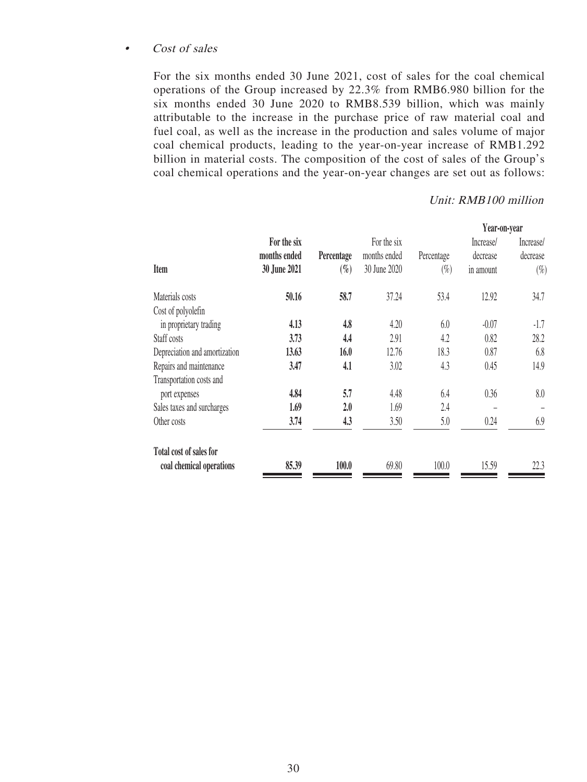#### • Cost of sales

For the six months ended 30 June 2021, cost of sales for the coal chemical operations of the Group increased by 22.3% from RMB6.980 billion for the six months ended 30 June 2020 to RMB8.539 billion, which was mainly attributable to the increase in the purchase price of raw material coal and fuel coal, as well as the increase in the production and sales volume of major coal chemical products, leading to the year-on-year increase of RMB1.292 billion in material costs. The composition of the cost of sales of the Group's coal chemical operations and the year-on-year changes are set out as follows:

#### Unit: RMB100 million

|              |            |              |            | Year-on-year |           |
|--------------|------------|--------------|------------|--------------|-----------|
| For the six  |            | For the six  |            | Increase/    | Increase/ |
| months ended | Percentage | months ended | Percentage | decrease     | decrease  |
| 30 June 2021 | $(\%)$     | 30 June 2020 | $(\%)$     | in amount    | $(\%)$    |
| 50.16        | 58.7       | 37.24        | 53.4       | 12.92        | 34.7      |
|              |            |              |            |              |           |
| 4.13         | 4.8        | 4.20         | 6.0        | $-0.07$      | $-1.7$    |
| 3.73         | 4.4        | 2.91         | 4.2        | 0.82         | 28.2      |
| 13.63        | 16.0       | 12.76        | 18.3       | 0.87         | 6.8       |
| 3.47         | 4.1        | 3.02         | 4.3        | 0.45         | 14.9      |
|              |            |              |            |              |           |
| 4.84         | 5.7        | 4.48         | 6.4        | 0.36         | 8.0       |
| 1.69         | 2.0        | 1.69         | 2.4        |              |           |
| 3.74         | 4.3        | 3.50         | 5.0        | 0.24         | 6.9       |
|              |            |              |            |              |           |
| 85.39        | 100.0      | 69.80        | 100.0      | 15.59        | 22.3      |
|              |            |              |            |              |           |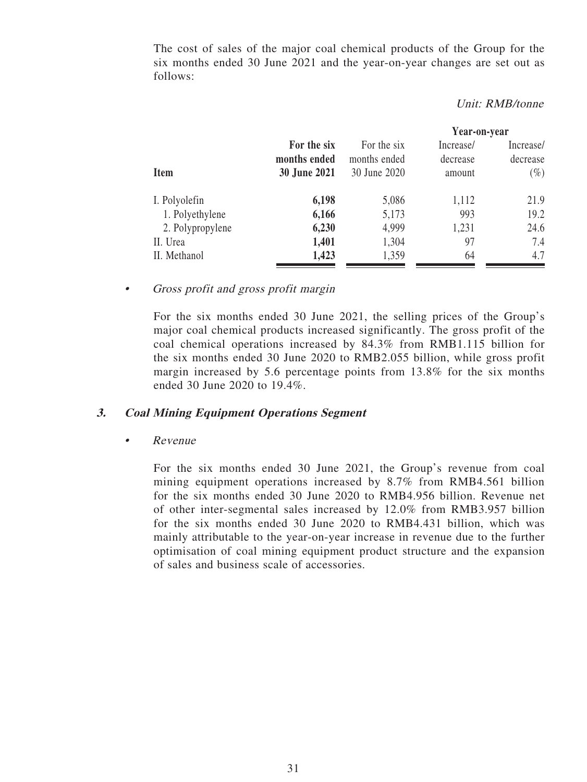The cost of sales of the major coal chemical products of the Group for the six months ended 30 June 2021 and the year-on-year changes are set out as follows:

#### Unit: RMB/tonne

|                  |              |              | Year-on-year |           |  |  |
|------------------|--------------|--------------|--------------|-----------|--|--|
|                  | For the six  | For the six  | Increase/    | Increase/ |  |  |
|                  | months ended | months ended | decrease     | decrease  |  |  |
| <b>Item</b>      | 30 June 2021 | 30 June 2020 | amount       | $(\%)$    |  |  |
| I. Polyolefin    | 6,198        | 5,086        | 1,112        | 21.9      |  |  |
| 1. Polyethylene  | 6,166        | 5,173        | 993          | 19.2      |  |  |
| 2. Polypropylene | 6,230        | 4,999        | 1,231        | 24.6      |  |  |
| II. Urea         | 1,401        | 1,304        | 97           | 7.4       |  |  |
| II. Methanol     | 1,423        | 1,359        | 64           | 4.7       |  |  |

• Gross profit and gross profit margin

For the six months ended 30 June 2021, the selling prices of the Group's major coal chemical products increased significantly. The gross profit of the coal chemical operations increased by 84.3% from RMB1.115 billion for the six months ended 30 June 2020 to RMB2.055 billion, while gross profit margin increased by 5.6 percentage points from 13.8% for the six months ended 30 June 2020 to 19.4%.

#### **3. Coal Mining Equipment Operations Segment**

• Revenue

For the six months ended 30 June 2021, the Group's revenue from coal mining equipment operations increased by 8.7% from RMB4.561 billion for the six months ended 30 June 2020 to RMB4.956 billion. Revenue net of other inter-segmental sales increased by 12.0% from RMB3.957 billion for the six months ended 30 June 2020 to RMB4.431 billion, which was mainly attributable to the year-on-year increase in revenue due to the further optimisation of coal mining equipment product structure and the expansion of sales and business scale of accessories.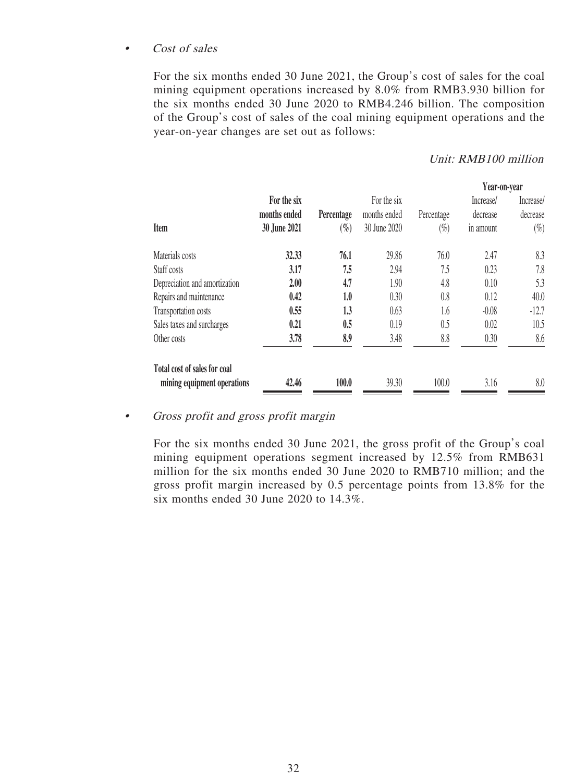#### • Cost of sales

For the six months ended 30 June 2021, the Group's cost of sales for the coal mining equipment operations increased by 8.0% from RMB3.930 billion for the six months ended 30 June 2020 to RMB4.246 billion. The composition of the Group's cost of sales of the coal mining equipment operations and the year-on-year changes are set out as follows:

#### Unit: RMB100 million

| For the six  |            | For the six  |            | Increase/ | Increase/    |
|--------------|------------|--------------|------------|-----------|--------------|
| months ended | Percentage | months ended | Percentage | decrease  | decrease     |
| 30 June 2021 | $(\%)$     | 30 June 2020 | $(\%)$     | in amount | $(\%)$       |
| 32.33        | 76.1       | 29.86        | 76.0       | 2.47      | 8.3          |
| 3.17         | 7.5        | 2.94         | 7.5        | 0.23      | 7.8          |
| 2.00         | 4.7        | 1.90         | 4.8        | 0.10      | 5.3          |
| 0.42         | 1.0        | 0.30         | 0.8        | 0.12      | 40.0         |
| 0.55         | 1.3        | 0.63         | 1.6        | $-0.08$   | $-12.7$      |
| 0.21         | 0.5        | 0.19         | 0.5        | 0.02      | 10.5         |
| 3.78         | 8.9        | 3.48         | 8.8        | 0.30      | 8.6          |
|              |            |              |            |           |              |
| 42.46        | 100.0      | 39.30        | 100.0      | 3.16      | 8.0          |
|              |            |              |            |           | Year-on-year |

• Gross profit and gross profit margin

For the six months ended 30 June 2021, the gross profit of the Group's coal mining equipment operations segment increased by 12.5% from RMB631 million for the six months ended 30 June 2020 to RMB710 million; and the gross profit margin increased by 0.5 percentage points from 13.8% for the six months ended 30 June 2020 to 14.3%.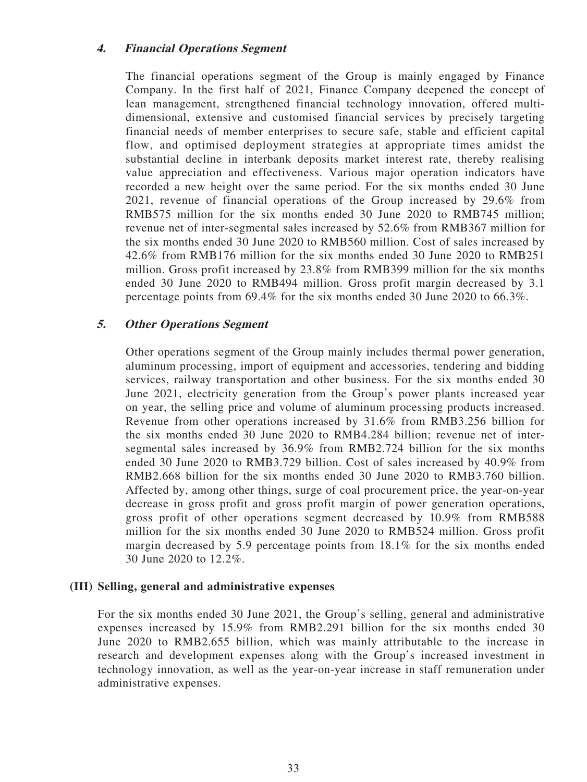### **4. Financial Operations Segment**

The financial operations segment of the Group is mainly engaged by Finance Company. In the first half of 2021, Finance Company deepened the concept of lean management, strengthened financial technology innovation, offered multidimensional, extensive and customised financial services by precisely targeting financial needs of member enterprises to secure safe, stable and efficient capital flow, and optimised deployment strategies at appropriate times amidst the substantial decline in interbank deposits market interest rate, thereby realising value appreciation and effectiveness. Various major operation indicators have recorded a new height over the same period. For the six months ended 30 June 2021, revenue of financial operations of the Group increased by 29.6% from RMB575 million for the six months ended 30 June 2020 to RMB745 million; revenue net of inter-segmental sales increased by 52.6% from RMB367 million for the six months ended 30 June 2020 to RMB560 million. Cost of sales increased by 42.6% from RMB176 million for the six months ended 30 June 2020 to RMB251 million. Gross profit increased by 23.8% from RMB399 million for the six months ended 30 June 2020 to RMB494 million. Gross profit margin decreased by 3.1 percentage points from 69.4% for the six months ended 30 June 2020 to 66.3%.

## **5. Other Operations Segment**

Other operations segment of the Group mainly includes thermal power generation, aluminum processing, import of equipment and accessories, tendering and bidding services, railway transportation and other business. For the six months ended 30 June 2021, electricity generation from the Group's power plants increased year on year, the selling price and volume of aluminum processing products increased. Revenue from other operations increased by 31.6% from RMB3.256 billion for the six months ended 30 June 2020 to RMB4.284 billion; revenue net of intersegmental sales increased by 36.9% from RMB2.724 billion for the six months ended 30 June 2020 to RMB3.729 billion. Cost of sales increased by 40.9% from RMB2.668 billion for the six months ended 30 June 2020 to RMB3.760 billion. Affected by, among other things, surge of coal procurement price, the year-on-year decrease in gross profit and gross profit margin of power generation operations, gross profit of other operations segment decreased by 10.9% from RMB588 million for the six months ended 30 June 2020 to RMB524 million. Gross profit margin decreased by 5.9 percentage points from 18.1% for the six months ended 30 June 2020 to 12.2%.

#### **(III) Selling, general and administrative expenses**

For the six months ended 30 June 2021, the Group's selling, general and administrative expenses increased by 15.9% from RMB2.291 billion for the six months ended 30 June 2020 to RMB2.655 billion, which was mainly attributable to the increase in research and development expenses along with the Group's increased investment in technology innovation, as well as the year-on-year increase in staff remuneration under administrative expenses.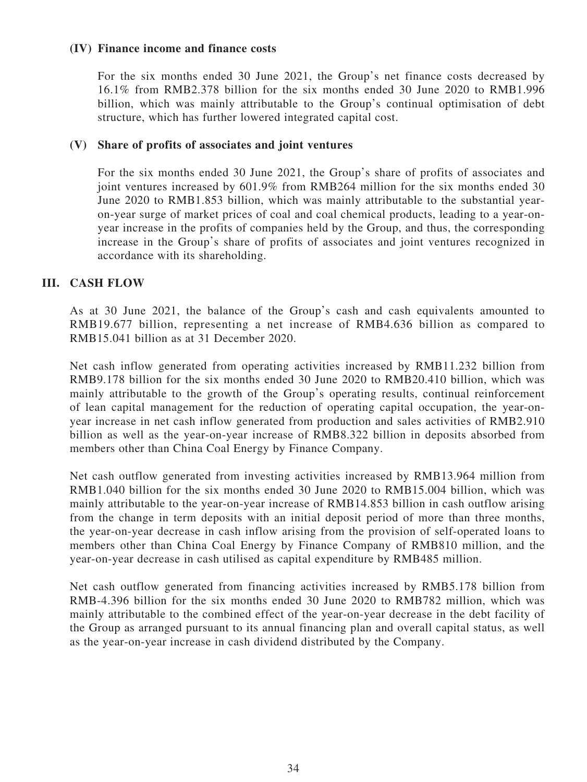#### **(IV) Finance income and finance costs**

For the six months ended 30 June 2021, the Group's net finance costs decreased by 16.1% from RMB2.378 billion for the six months ended 30 June 2020 to RMB1.996 billion, which was mainly attributable to the Group's continual optimisation of debt structure, which has further lowered integrated capital cost.

#### **(V) Share of profits of associates and joint ventures**

For the six months ended 30 June 2021, the Group's share of profits of associates and joint ventures increased by 601.9% from RMB264 million for the six months ended 30 June 2020 to RMB1.853 billion, which was mainly attributable to the substantial yearon-year surge of market prices of coal and coal chemical products, leading to a year-onyear increase in the profits of companies held by the Group, and thus, the corresponding increase in the Group's share of profits of associates and joint ventures recognized in accordance with its shareholding.

#### **III. CASH FLOW**

As at 30 June 2021, the balance of the Group's cash and cash equivalents amounted to RMB19.677 billion, representing a net increase of RMB4.636 billion as compared to RMB15.041 billion as at 31 December 2020.

Net cash inflow generated from operating activities increased by RMB11.232 billion from RMB9.178 billion for the six months ended 30 June 2020 to RMB20.410 billion, which was mainly attributable to the growth of the Group's operating results, continual reinforcement of lean capital management for the reduction of operating capital occupation, the year-onyear increase in net cash inflow generated from production and sales activities of RMB2.910 billion as well as the year-on-year increase of RMB8.322 billion in deposits absorbed from members other than China Coal Energy by Finance Company.

Net cash outflow generated from investing activities increased by RMB13.964 million from RMB1.040 billion for the six months ended 30 June 2020 to RMB15.004 billion, which was mainly attributable to the year-on-year increase of RMB14.853 billion in cash outflow arising from the change in term deposits with an initial deposit period of more than three months, the year-on-year decrease in cash inflow arising from the provision of self-operated loans to members other than China Coal Energy by Finance Company of RMB810 million, and the year-on-year decrease in cash utilised as capital expenditure by RMB485 million.

Net cash outflow generated from financing activities increased by RMB5.178 billion from RMB-4.396 billion for the six months ended 30 June 2020 to RMB782 million, which was mainly attributable to the combined effect of the year-on-year decrease in the debt facility of the Group as arranged pursuant to its annual financing plan and overall capital status, as well as the year-on-year increase in cash dividend distributed by the Company.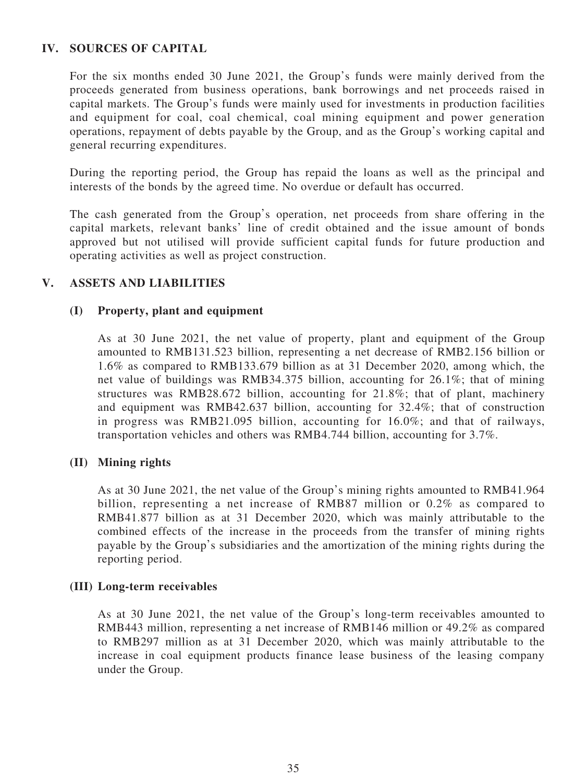## **IV. SOURCES OF CAPITAL**

For the six months ended 30 June 2021, the Group's funds were mainly derived from the proceeds generated from business operations, bank borrowings and net proceeds raised in capital markets. The Group's funds were mainly used for investments in production facilities and equipment for coal, coal chemical, coal mining equipment and power generation operations, repayment of debts payable by the Group, and as the Group's working capital and general recurring expenditures.

During the reporting period, the Group has repaid the loans as well as the principal and interests of the bonds by the agreed time. No overdue or default has occurred.

The cash generated from the Group's operation, net proceeds from share offering in the capital markets, relevant banks' line of credit obtained and the issue amount of bonds approved but not utilised will provide sufficient capital funds for future production and operating activities as well as project construction.

# **V. ASSETS AND LIABILITIES**

#### **(I) Property, plant and equipment**

As at 30 June 2021, the net value of property, plant and equipment of the Group amounted to RMB131.523 billion, representing a net decrease of RMB2.156 billion or 1.6% as compared to RMB133.679 billion as at 31 December 2020, among which, the net value of buildings was RMB34.375 billion, accounting for 26.1%; that of mining structures was RMB28.672 billion, accounting for 21.8%; that of plant, machinery and equipment was RMB42.637 billion, accounting for 32.4%; that of construction in progress was RMB21.095 billion, accounting for 16.0%; and that of railways, transportation vehicles and others was RMB4.744 billion, accounting for 3.7%.

#### **(II) Mining rights**

As at 30 June 2021, the net value of the Group's mining rights amounted to RMB41.964 billion, representing a net increase of RMB87 million or 0.2% as compared to RMB41.877 billion as at 31 December 2020, which was mainly attributable to the combined effects of the increase in the proceeds from the transfer of mining rights payable by the Group's subsidiaries and the amortization of the mining rights during the reporting period.

#### **(III) Long-term receivables**

As at 30 June 2021, the net value of the Group's long-term receivables amounted to RMB443 million, representing a net increase of RMB146 million or 49.2% as compared to RMB297 million as at 31 December 2020, which was mainly attributable to the increase in coal equipment products finance lease business of the leasing company under the Group.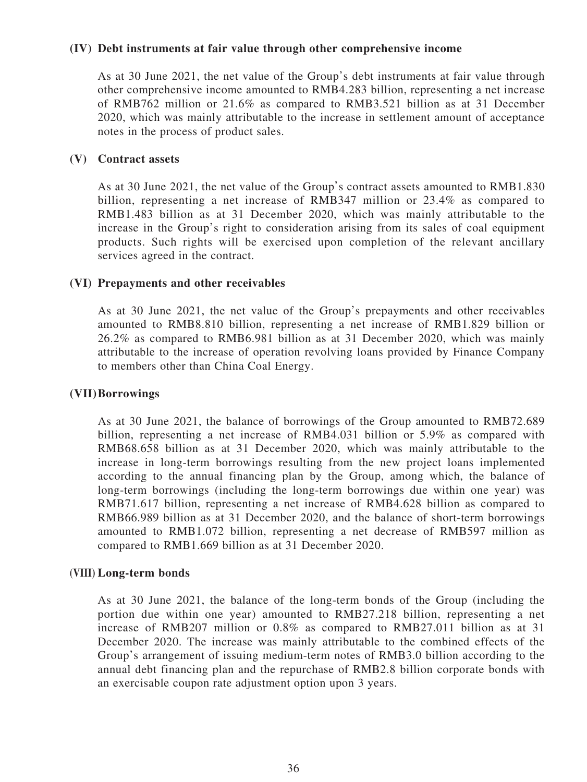#### **(IV) Debt instruments at fair value through other comprehensive income**

As at 30 June 2021, the net value of the Group's debt instruments at fair value through other comprehensive income amounted to RMB4.283 billion, representing a net increase of RMB762 million or 21.6% as compared to RMB3.521 billion as at 31 December 2020, which was mainly attributable to the increase in settlement amount of acceptance notes in the process of product sales.

### **(V) Contract assets**

As at 30 June 2021, the net value of the Group's contract assets amounted to RMB1.830 billion, representing a net increase of RMB347 million or 23.4% as compared to RMB1.483 billion as at 31 December 2020, which was mainly attributable to the increase in the Group's right to consideration arising from its sales of coal equipment products. Such rights will be exercised upon completion of the relevant ancillary services agreed in the contract.

## **(VI) Prepayments and other receivables**

As at 30 June 2021, the net value of the Group's prepayments and other receivables amounted to RMB8.810 billion, representing a net increase of RMB1.829 billion or 26.2% as compared to RMB6.981 billion as at 31 December 2020, which was mainly attributable to the increase of operation revolving loans provided by Finance Company to members other than China Coal Energy.

### **(VII) Borrowings**

As at 30 June 2021, the balance of borrowings of the Group amounted to RMB72.689 billion, representing a net increase of RMB4.031 billion or 5.9% as compared with RMB68.658 billion as at 31 December 2020, which was mainly attributable to the increase in long-term borrowings resulting from the new project loans implemented according to the annual financing plan by the Group, among which, the balance of long-term borrowings (including the long-term borrowings due within one year) was RMB71.617 billion, representing a net increase of RMB4.628 billion as compared to RMB66.989 billion as at 31 December 2020, and the balance of short-term borrowings amounted to RMB1.072 billion, representing a net decrease of RMB597 million as compared to RMB1.669 billion as at 31 December 2020.

#### **(VIII) Long-term bonds**

As at 30 June 2021, the balance of the long-term bonds of the Group (including the portion due within one year) amounted to RMB27.218 billion, representing a net increase of RMB207 million or 0.8% as compared to RMB27.011 billion as at 31 December 2020. The increase was mainly attributable to the combined effects of the Group's arrangement of issuing medium-term notes of RMB3.0 billion according to the annual debt financing plan and the repurchase of RMB2.8 billion corporate bonds with an exercisable coupon rate adjustment option upon 3 years.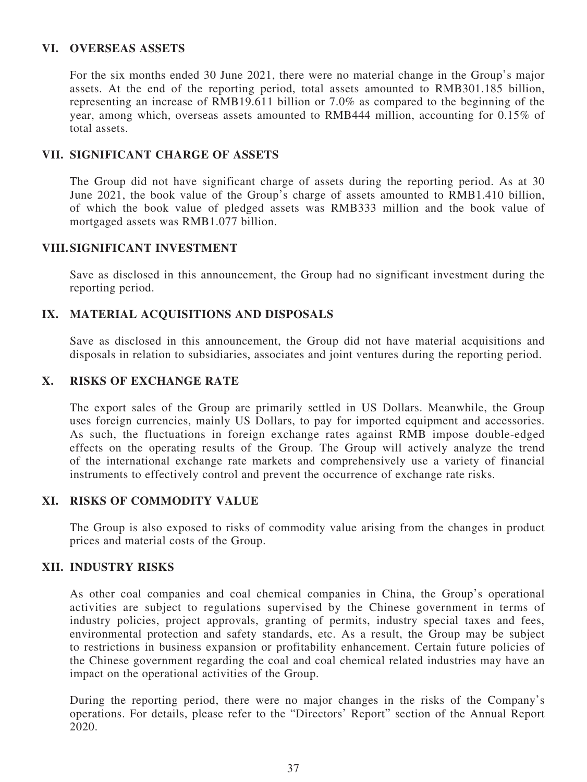### **VI. OVERSEAS ASSETS**

For the six months ended 30 June 2021, there were no material change in the Group's major assets. At the end of the reporting period, total assets amounted to RMB301.185 billion, representing an increase of RMB19.611 billion or 7.0% as compared to the beginning of the year, among which, overseas assets amounted to RMB444 million, accounting for 0.15% of total assets.

### **VII. SIGNIFICANT CHARGE OF ASSETS**

The Group did not have significant charge of assets during the reporting period. As at 30 June 2021, the book value of the Group's charge of assets amounted to RMB1.410 billion, of which the book value of pledged assets was RMB333 million and the book value of mortgaged assets was RMB1.077 billion.

## **VIII. SIGNIFICANT INVESTMENT**

Save as disclosed in this announcement, the Group had no significant investment during the reporting period.

# **IX. MATERIAL ACQUISITIONS AND DISPOSALS**

Save as disclosed in this announcement, the Group did not have material acquisitions and disposals in relation to subsidiaries, associates and joint ventures during the reporting period.

#### **X. RISKS OF EXCHANGE RATE**

The export sales of the Group are primarily settled in US Dollars. Meanwhile, the Group uses foreign currencies, mainly US Dollars, to pay for imported equipment and accessories. As such, the fluctuations in foreign exchange rates against RMB impose double-edged effects on the operating results of the Group. The Group will actively analyze the trend of the international exchange rate markets and comprehensively use a variety of financial instruments to effectively control and prevent the occurrence of exchange rate risks.

# **XI. RISKS OF COMMODITY VALUE**

The Group is also exposed to risks of commodity value arising from the changes in product prices and material costs of the Group.

#### **XII. INDUSTRY RISKS**

As other coal companies and coal chemical companies in China, the Group's operational activities are subject to regulations supervised by the Chinese government in terms of industry policies, project approvals, granting of permits, industry special taxes and fees, environmental protection and safety standards, etc. As a result, the Group may be subject to restrictions in business expansion or profitability enhancement. Certain future policies of the Chinese government regarding the coal and coal chemical related industries may have an impact on the operational activities of the Group.

During the reporting period, there were no major changes in the risks of the Company's operations. For details, please refer to the "Directors' Report" section of the Annual Report 2020.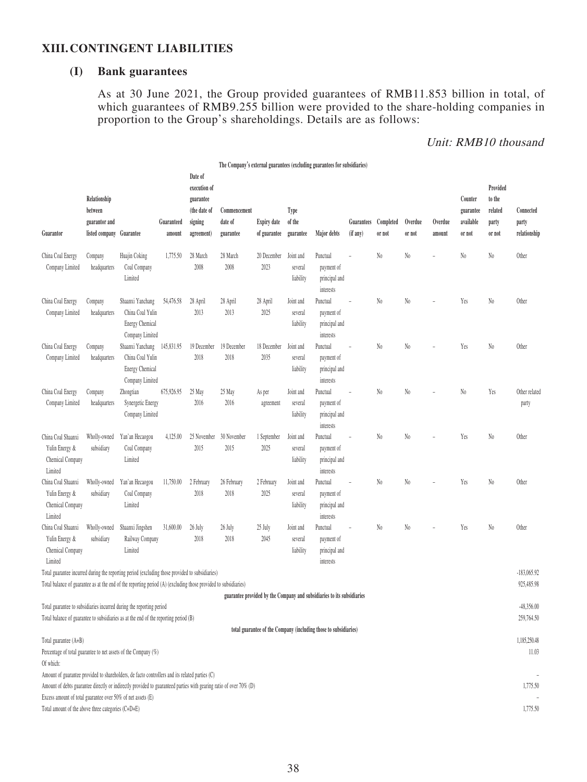#### **XIII. CONTINGENT LIABILITIES**

# **(I) Bank guarantees**

As at 30 June 2021, the Group provided guarantees of RMB11.853 billion in total, of which guarantees of RMB9.255 billion were provided to the share-holding companies in proportion to the Group's shareholdings. Details are as follows:

#### Unit: RMB10 thousand

|                                                                                                                                                                                                                                                                                     |                                                                      |                                                                            |                      |                                                                               | The Company's external guarantees (excluding guarantees for subsidiaries) |                                    |                                   |                                                                        |                        |                     |                   |                   |                                             |                                                  |                                    |
|-------------------------------------------------------------------------------------------------------------------------------------------------------------------------------------------------------------------------------------------------------------------------------------|----------------------------------------------------------------------|----------------------------------------------------------------------------|----------------------|-------------------------------------------------------------------------------|---------------------------------------------------------------------------|------------------------------------|-----------------------------------|------------------------------------------------------------------------|------------------------|---------------------|-------------------|-------------------|---------------------------------------------|--------------------------------------------------|------------------------------------|
| Guarantor                                                                                                                                                                                                                                                                           | Relationship<br>between<br>guarantor and<br>listed company Guarantee |                                                                            | Guaranteed<br>amount | Date of<br>execution of<br>guarantee<br>(the date of<br>signing<br>agreement) | Commencement<br>date of<br>guarantee                                      | <b>Expiry date</b><br>of guarantee | Type<br>of the<br>guarantee       | Major debts                                                            | Guarantees<br>(if any) | Completed<br>or not | Overdue<br>or not | Overdue<br>amount | Counter<br>guarantee<br>available<br>or not | Provided<br>to the<br>related<br>party<br>or not | Connected<br>party<br>relationship |
| China Coal Energy<br>Company Limited                                                                                                                                                                                                                                                | Company<br>headquarters                                              | Huajin Coking<br>Coal Company<br>Limited                                   | 1,775.50             | 28 March<br>2008                                                              | 28 March<br>2008                                                          | 20 December<br>2023                | Joint and<br>several<br>liability | Punctual<br>payment of<br>principal and<br>interests                   |                        | $\rm No$            | $\rm No$          |                   | No.                                         | No.                                              | Other                              |
| China Coal Energy<br>Company Limited                                                                                                                                                                                                                                                | Company<br>headquarters                                              | Shaanxi Yanchang<br>China Coal Yulin<br>Energy Chemical<br>Company Limited | 54,476.58            | 28 April<br>2013                                                              | 28 April<br>2013                                                          | 28 April<br>2025                   | Joint and<br>several<br>liability | Punctual<br>payment of<br>principal and<br>interests                   | L.                     | $\mathrm{N}_0$      | $\rm No$          |                   | Yes                                         | No.                                              | Other                              |
| China Coal Energy<br>Company Limited                                                                                                                                                                                                                                                | Company<br>headquarters                                              | Shaanxi Yanchang<br>China Coal Yulin<br>Energy Chemical<br>Company Limited | 145,831.95           | 19 December<br>2018                                                           | 19 December<br>2018                                                       | 18 December<br>2035                | Joint and<br>several<br>liability | Punctual<br>payment of<br>principal and<br>interests                   |                        | N <sub>0</sub>      | N <sub>0</sub>    |                   | Yes                                         | $\mathrm{N}_0$                                   | Other                              |
| China Coal Energy<br>Company Limited                                                                                                                                                                                                                                                | Company<br>headquarters                                              | Zhongtian<br>Synergetic Energy<br>Company Limited                          | 675,926.95           | 25 May<br>2016                                                                | 25 May<br>2016                                                            | As per<br>agreement                | Joint and<br>several<br>liability | Punctual<br>payment of<br>principal and<br>interests                   |                        | N <sub>0</sub>      | $\rm No$          |                   | $\mathrm{N}_0$                              | Yes                                              | Other related<br>party             |
| China Coal Shaanxi<br>Yulin Energy &<br>Chemical Company<br>Limited                                                                                                                                                                                                                 | Wholly-owned<br>subsidiary                                           | Yan'an Hecaogou<br>Coal Company<br>Limited                                 | 4,125.00             | 25 November<br>2015                                                           | 30 November<br>2015                                                       | 1 September<br>2025                | Joint and<br>several<br>liability | Punctual<br>payment of<br>principal and<br>interests                   | L,                     | $\mathrm{N}_0$      | $\rm No$          |                   | Yes                                         | N <sub>0</sub>                                   | Other                              |
| China Coal Shaanxi<br>Yulin Energy &<br>Chemical Company<br>Limited                                                                                                                                                                                                                 | Wholly-owned<br>subsidiary                                           | Yan'an Hecaogou<br>Coal Company<br>Limited                                 | 11,750.00            | 2 February<br>2018                                                            | 26 February<br>2018                                                       | 2 February<br>2025                 | Joint and<br>several<br>liability | Punctual<br>payment of<br>principal and<br>interests                   |                        | N <sub>0</sub>      | N <sub>0</sub>    |                   | Yes                                         | N <sub>0</sub>                                   | Other                              |
| China Coal Shaanxi<br>Yulin Energy &<br>Chemical Company<br>Limited                                                                                                                                                                                                                 | Wholly-owned<br>subsidiary                                           | Shaanxi Jingshen<br>Railway Company<br>Limited                             | 31,600.00            | 26 July<br>2018                                                               | 26 July<br>2018                                                           | 25 July<br>2045                    | Joint and<br>several<br>liability | Punctual<br>payment of<br>principal and<br>interests                   |                        | N <sub>0</sub>      | N <sub>0</sub>    |                   | Yes                                         | N <sub>0</sub>                                   | Other                              |
| Total guarantee incurred during the reporting period (excluding those provided to subsidiaries)<br>Total balance of guarantee as at the end of the reporting period (A) (excluding those provided to subsidiaries)                                                                  |                                                                      |                                                                            |                      |                                                                               |                                                                           |                                    |                                   |                                                                        |                        |                     |                   |                   |                                             |                                                  | $-183,065.92$<br>925,485.98        |
| Total guarantee to subsidiaries incurred during the reporting period<br>Total balance of guarantee to subsidiaries as at the end of the reporting period (B)                                                                                                                        |                                                                      |                                                                            |                      |                                                                               |                                                                           |                                    |                                   | guarantee provided by the Company and subsidiaries to its subsidiaries |                        |                     |                   |                   |                                             |                                                  | $-48,356.00$<br>259,764.50         |
| Total guarantee (A+B)<br>Percentage of total guarantee to net assets of the Company (%)<br>Of which:                                                                                                                                                                                |                                                                      |                                                                            |                      |                                                                               |                                                                           |                                    |                                   | total guarantee of the Company (including those to subsidiaries)       |                        |                     |                   |                   |                                             |                                                  | 1,185,250.48<br>11.03              |
| Amount of guarantee provided to shareholders, de facto controllers and its related parties (C)<br>Amount of debts guarantee directly or indirectly provided to guaranteed parties with gearing ratio of over 70% (D)<br>Excess amount of total guarantee over 50% of net assets (E) |                                                                      |                                                                            |                      |                                                                               |                                                                           |                                    |                                   |                                                                        |                        |                     |                   |                   |                                             |                                                  | 1,775.50                           |
| Total amount of the above three categories (C+D+E)                                                                                                                                                                                                                                  |                                                                      |                                                                            |                      |                                                                               |                                                                           |                                    |                                   |                                                                        |                        |                     |                   |                   |                                             |                                                  | 1,775.50                           |

38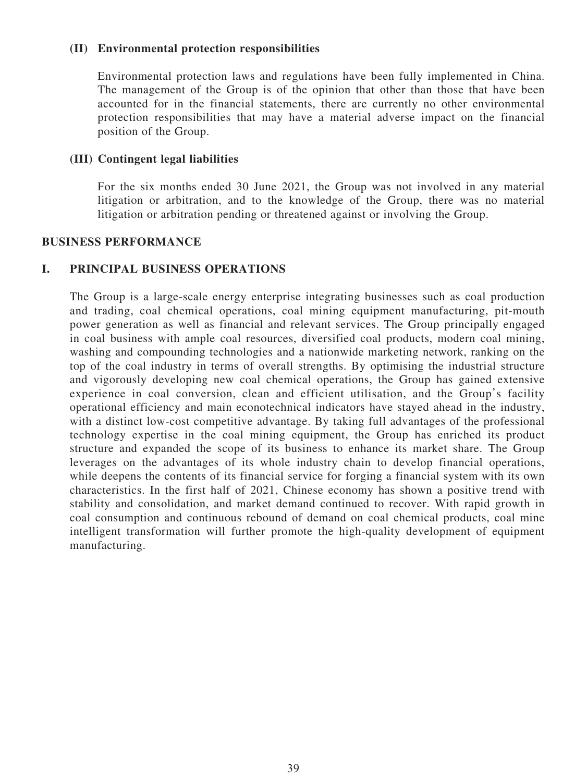### **(II) Environmental protection responsibilities**

Environmental protection laws and regulations have been fully implemented in China. The management of the Group is of the opinion that other than those that have been accounted for in the financial statements, there are currently no other environmental protection responsibilities that may have a material adverse impact on the financial position of the Group.

## **(III) Contingent legal liabilities**

For the six months ended 30 June 2021, the Group was not involved in any material litigation or arbitration, and to the knowledge of the Group, there was no material litigation or arbitration pending or threatened against or involving the Group.

#### **BUSINESS PERFORMANCE**

# **I. PRINCIPAL BUSINESS OPERATIONS**

The Group is a large-scale energy enterprise integrating businesses such as coal production and trading, coal chemical operations, coal mining equipment manufacturing, pit-mouth power generation as well as financial and relevant services. The Group principally engaged in coal business with ample coal resources, diversified coal products, modern coal mining, washing and compounding technologies and a nationwide marketing network, ranking on the top of the coal industry in terms of overall strengths. By optimising the industrial structure and vigorously developing new coal chemical operations, the Group has gained extensive experience in coal conversion, clean and efficient utilisation, and the Group's facility operational efficiency and main econotechnical indicators have stayed ahead in the industry, with a distinct low-cost competitive advantage. By taking full advantages of the professional technology expertise in the coal mining equipment, the Group has enriched its product structure and expanded the scope of its business to enhance its market share. The Group leverages on the advantages of its whole industry chain to develop financial operations, while deepens the contents of its financial service for forging a financial system with its own characteristics. In the first half of 2021, Chinese economy has shown a positive trend with stability and consolidation, and market demand continued to recover. With rapid growth in coal consumption and continuous rebound of demand on coal chemical products, coal mine intelligent transformation will further promote the high-quality development of equipment manufacturing.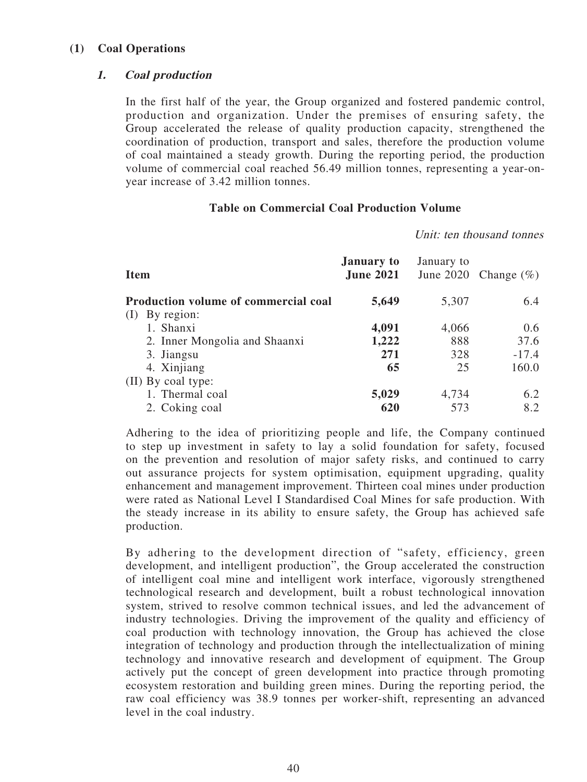### **(1) Coal Operations**

## **1. Coal production**

In the first half of the year, the Group organized and fostered pandemic control, production and organization. Under the premises of ensuring safety, the Group accelerated the release of quality production capacity, strengthened the coordination of production, transport and sales, therefore the production volume of coal maintained a steady growth. During the reporting period, the production volume of commercial coal reached 56.49 million tonnes, representing a year-onyear increase of 3.42 million tonnes.

#### **Table on Commercial Coal Production Volume**

Unit: ten thousand tonnes

| <b>Item</b>                                 | <b>January to</b><br><b>June 2021</b> | January to | June 2020 Change $(\%)$ |
|---------------------------------------------|---------------------------------------|------------|-------------------------|
| <b>Production volume of commercial coal</b> | 5,649                                 | 5,307      | 6.4                     |
| By region:<br>(I)                           |                                       |            |                         |
| 1. Shanxi                                   | 4,091                                 | 4,066      | 0.6                     |
| 2. Inner Mongolia and Shaanxi               | 1,222                                 | 888        | 37.6                    |
| 3. Jiangsu                                  | 271                                   | 328        | $-17.4$                 |
| 4. Xinjiang                                 | 65                                    | 25         | 160.0                   |
| (II) By coal type:                          |                                       |            |                         |
| 1. Thermal coal                             | 5,029                                 | 4,734      | 6.2                     |
| 2. Coking coal                              | 620                                   | 573        | 8.2                     |

Adhering to the idea of prioritizing people and life, the Company continued to step up investment in safety to lay a solid foundation for safety, focused on the prevention and resolution of major safety risks, and continued to carry out assurance projects for system optimisation, equipment upgrading, quality enhancement and management improvement. Thirteen coal mines under production were rated as National Level I Standardised Coal Mines for safe production. With the steady increase in its ability to ensure safety, the Group has achieved safe production.

By adhering to the development direction of "safety, efficiency, green development, and intelligent production", the Group accelerated the construction of intelligent coal mine and intelligent work interface, vigorously strengthened technological research and development, built a robust technological innovation system, strived to resolve common technical issues, and led the advancement of industry technologies. Driving the improvement of the quality and efficiency of coal production with technology innovation, the Group has achieved the close integration of technology and production through the intellectualization of mining technology and innovative research and development of equipment. The Group actively put the concept of green development into practice through promoting ecosystem restoration and building green mines. During the reporting period, the raw coal efficiency was 38.9 tonnes per worker-shift, representing an advanced level in the coal industry.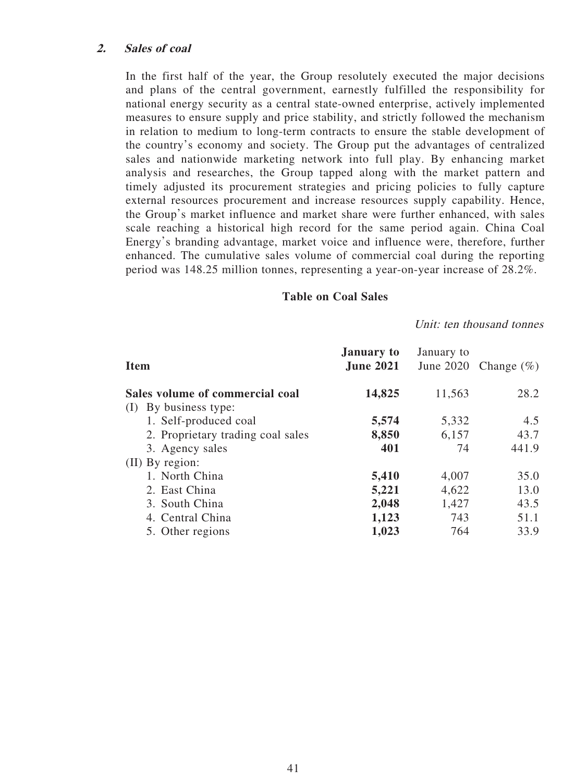#### **2. Sales of coal**

In the first half of the year, the Group resolutely executed the major decisions and plans of the central government, earnestly fulfilled the responsibility for national energy security as a central state-owned enterprise, actively implemented measures to ensure supply and price stability, and strictly followed the mechanism in relation to medium to long-term contracts to ensure the stable development of the country's economy and society. The Group put the advantages of centralized sales and nationwide marketing network into full play. By enhancing market analysis and researches, the Group tapped along with the market pattern and timely adjusted its procurement strategies and pricing policies to fully capture external resources procurement and increase resources supply capability. Hence, the Group's market influence and market share were further enhanced, with sales scale reaching a historical high record for the same period again. China Coal Energy's branding advantage, market voice and influence were, therefore, further enhanced. The cumulative sales volume of commercial coal during the reporting period was 148.25 million tonnes, representing a year-on-year increase of 28.2%.

#### **Table on Coal Sales**

#### Unit: ten thousand tonnes

| <b>Item</b>                       | <b>January to</b><br><b>June 2021</b> | January to | June 2020 Change $(\% )$ |
|-----------------------------------|---------------------------------------|------------|--------------------------|
| Sales volume of commercial coal   | 14,825                                | 11,563     | 28.2                     |
| By business type:<br>(1)          |                                       |            |                          |
| 1. Self-produced coal             | 5,574                                 | 5,332      | 4.5                      |
| 2. Proprietary trading coal sales | 8,850                                 | 6,157      | 43.7                     |
| 3. Agency sales                   | 401                                   | 74         | 441.9                    |
| (II) By region:                   |                                       |            |                          |
| 1. North China                    | 5,410                                 | 4,007      | 35.0                     |
| 2. East China                     | 5,221                                 | 4,622      | 13.0                     |
| 3. South China                    | 2,048                                 | 1,427      | 43.5                     |
| 4. Central China                  | 1,123                                 | 743        | 51.1                     |
| 5. Other regions                  | 1,023                                 | 764        | 33.9                     |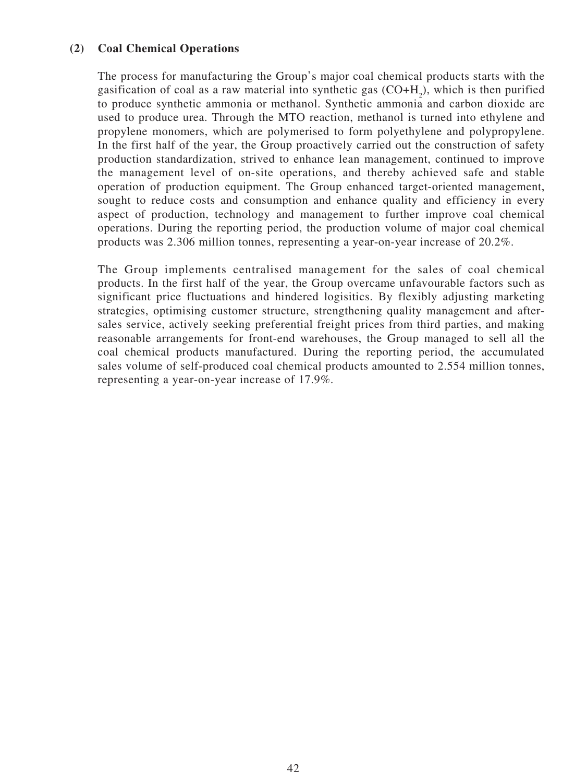## **(2) Coal Chemical Operations**

The process for manufacturing the Group's major coal chemical products starts with the gasification of coal as a raw material into synthetic gas  $(CO+H<sub>2</sub>)$ , which is then purified to produce synthetic ammonia or methanol. Synthetic ammonia and carbon dioxide are used to produce urea. Through the MTO reaction, methanol is turned into ethylene and propylene monomers, which are polymerised to form polyethylene and polypropylene. In the first half of the year, the Group proactively carried out the construction of safety production standardization, strived to enhance lean management, continued to improve the management level of on-site operations, and thereby achieved safe and stable operation of production equipment. The Group enhanced target-oriented management, sought to reduce costs and consumption and enhance quality and efficiency in every aspect of production, technology and management to further improve coal chemical operations. During the reporting period, the production volume of major coal chemical products was 2.306 million tonnes, representing a year-on-year increase of 20.2%.

The Group implements centralised management for the sales of coal chemical products. In the first half of the year, the Group overcame unfavourable factors such as significant price fluctuations and hindered logisitics. By flexibly adjusting marketing strategies, optimising customer structure, strengthening quality management and aftersales service, actively seeking preferential freight prices from third parties, and making reasonable arrangements for front-end warehouses, the Group managed to sell all the coal chemical products manufactured. During the reporting period, the accumulated sales volume of self-produced coal chemical products amounted to 2.554 million tonnes, representing a year-on-year increase of 17.9%.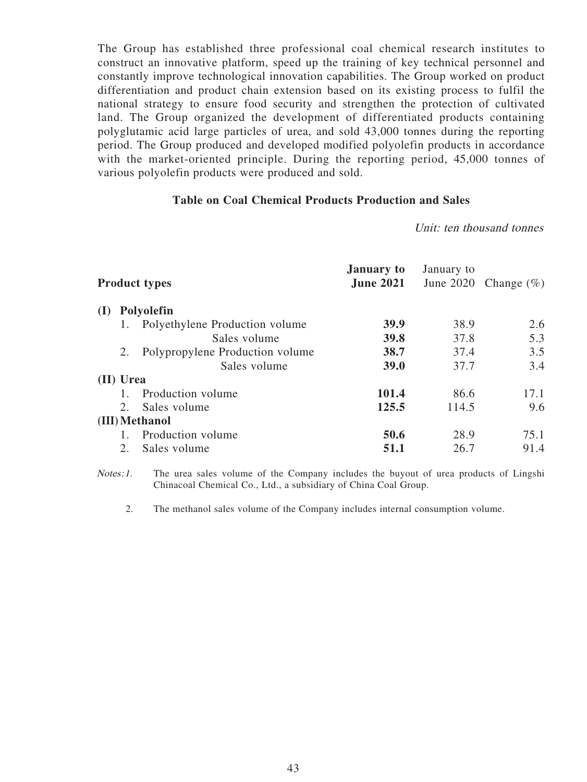The Group has established three professional coal chemical research institutes to construct an innovative platform, speed up the training of key technical personnel and constantly improve technological innovation capabilities. The Group worked on product differentiation and product chain extension based on its existing process to fulfil the national strategy to ensure food security and strengthen the protection of cultivated land. The Group organized the development of differentiated products containing polyglutamic acid large particles of urea, and sold 43,000 tonnes during the reporting period. The Group produced and developed modified polyolefin products in accordance with the market-oriented principle. During the reporting period, 45,000 tonnes of various polyolefin products were produced and sold.

#### **Table on Coal Chemical Products Production and Sales**

Unit: ten thousand tonnes

|     |           | <b>Product types</b>            | <b>January to</b><br><b>June 2021</b> | January to | June 2020 Change $(\%)$ |
|-----|-----------|---------------------------------|---------------------------------------|------------|-------------------------|
| (I) |           | Polyolefin                      |                                       |            |                         |
|     |           | Polyethylene Production volume  | 39.9                                  | 38.9       | 2.6                     |
|     |           | Sales volume                    | 39.8                                  | 37.8       | 5.3                     |
|     | 2.        | Polypropylene Production volume | 38.7                                  | 37.4       | 3.5                     |
|     |           | Sales volume                    | 39.0                                  | 37.7       | 3.4                     |
|     | (II) Urea |                                 |                                       |            |                         |
|     |           | Production volume               | 101.4                                 | 86.6       | 17.1                    |
|     | 2.        | Sales volume                    | 125.5                                 | 114.5      | 9.6                     |
|     |           | (III) Methanol                  |                                       |            |                         |
|     |           | Production volume               | 50.6                                  | 28.9       | 75.1                    |
|     | 2.        | Sales volume                    | 51.1                                  | 26.7       | 91.4                    |

Notes: 1. The urea sales volume of the Company includes the buyout of urea products of Lingshi Chinacoal Chemical Co., Ltd., a subsidiary of China Coal Group.

2. The methanol sales volume of the Company includes internal consumption volume.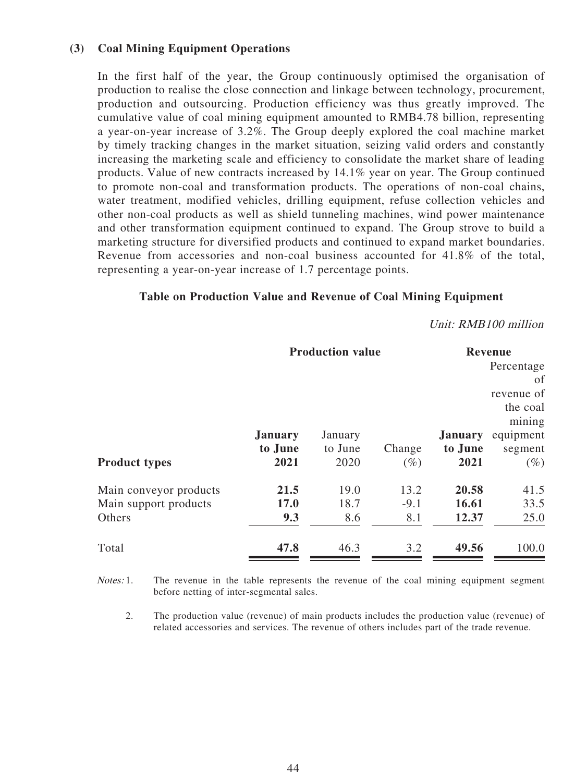### **(3) Coal Mining Equipment Operations**

In the first half of the year, the Group continuously optimised the organisation of production to realise the close connection and linkage between technology, procurement, production and outsourcing. Production efficiency was thus greatly improved. The cumulative value of coal mining equipment amounted to RMB4.78 billion, representing a year-on-year increase of 3.2%. The Group deeply explored the coal machine market by timely tracking changes in the market situation, seizing valid orders and constantly increasing the marketing scale and efficiency to consolidate the market share of leading products. Value of new contracts increased by 14.1% year on year. The Group continued to promote non-coal and transformation products. The operations of non-coal chains, water treatment, modified vehicles, drilling equipment, refuse collection vehicles and other non-coal products as well as shield tunneling machines, wind power maintenance and other transformation equipment continued to expand. The Group strove to build a marketing structure for diversified products and continued to expand market boundaries. Revenue from accessories and non-coal business accounted for 41.8% of the total, representing a year-on-year increase of 1.7 percentage points.

## **Table on Production Value and Revenue of Coal Mining Equipment**

#### Unit: RMB100 million

| <b>Production value</b> |                |         |        |                | <b>Revenue</b>     |  |
|-------------------------|----------------|---------|--------|----------------|--------------------|--|
|                         |                |         |        | Percentage     |                    |  |
|                         |                |         |        |                | οf                 |  |
|                         |                |         |        |                | revenue of         |  |
|                         |                |         |        |                | the coal<br>mining |  |
|                         | <b>January</b> | January |        | <b>January</b> | equipment          |  |
|                         | to June        | to June | Change | to June        | segment            |  |
| <b>Product types</b>    | 2021           | 2020    | $(\%)$ | 2021           | $(\%)$             |  |
| Main conveyor products  | 21.5           | 19.0    | 13.2   | 20.58          | 41.5               |  |
| Main support products   | 17.0           | 18.7    | $-9.1$ | 16.61          | 33.5               |  |
| Others                  | 9.3            | 8.6     | 8.1    | 12.37          | 25.0               |  |
| Total                   | 47.8           | 46.3    | 3.2    | 49.56          | 100.0              |  |

Notes: 1. The revenue in the table represents the revenue of the coal mining equipment segment before netting of inter-segmental sales.

2. The production value (revenue) of main products includes the production value (revenue) of related accessories and services. The revenue of others includes part of the trade revenue.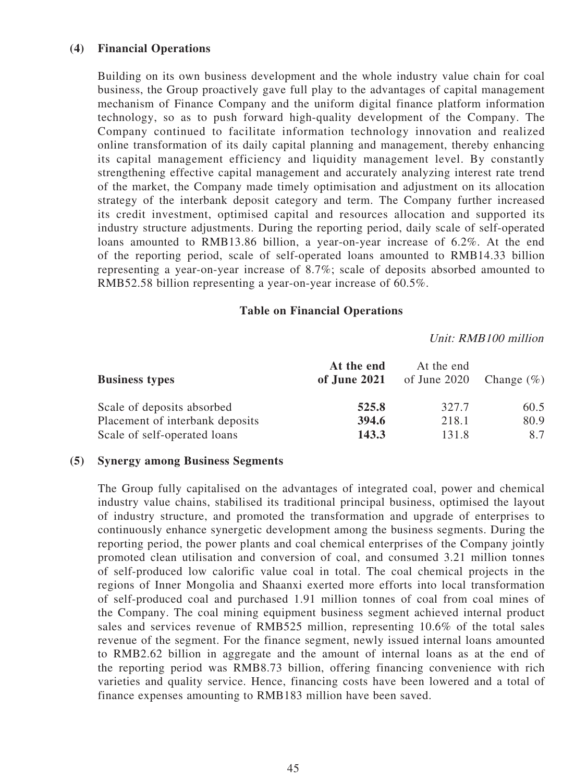### **(4) Financial Operations**

Building on its own business development and the whole industry value chain for coal business, the Group proactively gave full play to the advantages of capital management mechanism of Finance Company and the uniform digital finance platform information technology, so as to push forward high-quality development of the Company. The Company continued to facilitate information technology innovation and realized online transformation of its daily capital planning and management, thereby enhancing its capital management efficiency and liquidity management level. By constantly strengthening effective capital management and accurately analyzing interest rate trend of the market, the Company made timely optimisation and adjustment on its allocation strategy of the interbank deposit category and term. The Company further increased its credit investment, optimised capital and resources allocation and supported its industry structure adjustments. During the reporting period, daily scale of self-operated loans amounted to RMB13.86 billion, a year-on-year increase of 6.2%. At the end of the reporting period, scale of self-operated loans amounted to RMB14.33 billion representing a year-on-year increase of 8.7%; scale of deposits absorbed amounted to RMB52.58 billion representing a year-on-year increase of 60.5%.

#### **Table on Financial Operations**

#### Unit: RMB100 million

| <b>Business types</b>           | At the end<br>of June 2021 | At the end<br>of June 2020 | Change $(\%)$ |
|---------------------------------|----------------------------|----------------------------|---------------|
| Scale of deposits absorbed      | 525.8                      | 327.7                      | 60.5          |
| Placement of interbank deposits | 394.6                      | 218.1                      | 80.9          |
| Scale of self-operated loans    | 143.3                      | 131.8                      | 8.7           |

#### **(5) Synergy among Business Segments**

The Group fully capitalised on the advantages of integrated coal, power and chemical industry value chains, stabilised its traditional principal business, optimised the layout of industry structure, and promoted the transformation and upgrade of enterprises to continuously enhance synergetic development among the business segments. During the reporting period, the power plants and coal chemical enterprises of the Company jointly promoted clean utilisation and conversion of coal, and consumed 3.21 million tonnes of self-produced low calorific value coal in total. The coal chemical projects in the regions of Inner Mongolia and Shaanxi exerted more efforts into local transformation of self-produced coal and purchased 1.91 million tonnes of coal from coal mines of the Company. The coal mining equipment business segment achieved internal product sales and services revenue of RMB525 million, representing 10.6% of the total sales revenue of the segment. For the finance segment, newly issued internal loans amounted to RMB2.62 billion in aggregate and the amount of internal loans as at the end of the reporting period was RMB8.73 billion, offering financing convenience with rich varieties and quality service. Hence, financing costs have been lowered and a total of finance expenses amounting to RMB183 million have been saved.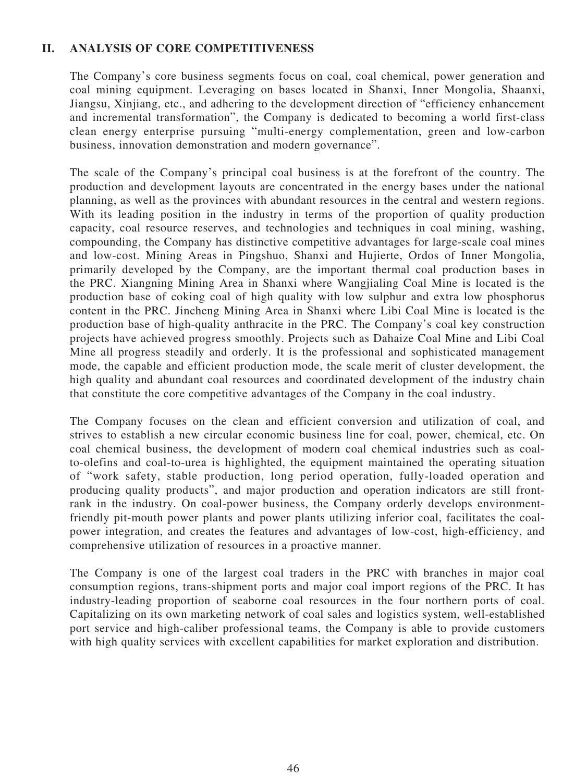## **II. ANALYSIS OF CORE COMPETITIVENESS**

The Company's core business segments focus on coal, coal chemical, power generation and coal mining equipment. Leveraging on bases located in Shanxi, Inner Mongolia, Shaanxi, Jiangsu, Xinjiang, etc., and adhering to the development direction of "efficiency enhancement and incremental transformation", the Company is dedicated to becoming a world first-class clean energy enterprise pursuing "multi-energy complementation, green and low-carbon business, innovation demonstration and modern governance".

The scale of the Company's principal coal business is at the forefront of the country. The production and development layouts are concentrated in the energy bases under the national planning, as well as the provinces with abundant resources in the central and western regions. With its leading position in the industry in terms of the proportion of quality production capacity, coal resource reserves, and technologies and techniques in coal mining, washing, compounding, the Company has distinctive competitive advantages for large-scale coal mines and low-cost. Mining Areas in Pingshuo, Shanxi and Hujierte, Ordos of Inner Mongolia, primarily developed by the Company, are the important thermal coal production bases in the PRC. Xiangning Mining Area in Shanxi where Wangjialing Coal Mine is located is the production base of coking coal of high quality with low sulphur and extra low phosphorus content in the PRC. Jincheng Mining Area in Shanxi where Libi Coal Mine is located is the production base of high-quality anthracite in the PRC. The Company's coal key construction projects have achieved progress smoothly. Projects such as Dahaize Coal Mine and Libi Coal Mine all progress steadily and orderly. It is the professional and sophisticated management mode, the capable and efficient production mode, the scale merit of cluster development, the high quality and abundant coal resources and coordinated development of the industry chain that constitute the core competitive advantages of the Company in the coal industry.

The Company focuses on the clean and efficient conversion and utilization of coal, and strives to establish a new circular economic business line for coal, power, chemical, etc. On coal chemical business, the development of modern coal chemical industries such as coalto-olefins and coal-to-urea is highlighted, the equipment maintained the operating situation of "work safety, stable production, long period operation, fully-loaded operation and producing quality products", and major production and operation indicators are still frontrank in the industry. On coal-power business, the Company orderly develops environmentfriendly pit-mouth power plants and power plants utilizing inferior coal, facilitates the coalpower integration, and creates the features and advantages of low-cost, high-efficiency, and comprehensive utilization of resources in a proactive manner.

The Company is one of the largest coal traders in the PRC with branches in major coal consumption regions, trans-shipment ports and major coal import regions of the PRC. It has industry-leading proportion of seaborne coal resources in the four northern ports of coal. Capitalizing on its own marketing network of coal sales and logistics system, well-established port service and high-caliber professional teams, the Company is able to provide customers with high quality services with excellent capabilities for market exploration and distribution.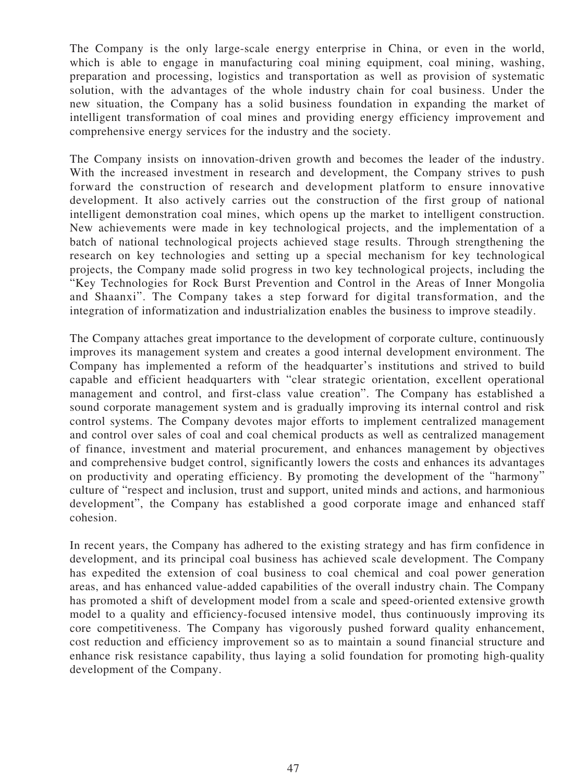The Company is the only large-scale energy enterprise in China, or even in the world, which is able to engage in manufacturing coal mining equipment, coal mining, washing, preparation and processing, logistics and transportation as well as provision of systematic solution, with the advantages of the whole industry chain for coal business. Under the new situation, the Company has a solid business foundation in expanding the market of intelligent transformation of coal mines and providing energy efficiency improvement and comprehensive energy services for the industry and the society.

The Company insists on innovation-driven growth and becomes the leader of the industry. With the increased investment in research and development, the Company strives to push forward the construction of research and development platform to ensure innovative development. It also actively carries out the construction of the first group of national intelligent demonstration coal mines, which opens up the market to intelligent construction. New achievements were made in key technological projects, and the implementation of a batch of national technological projects achieved stage results. Through strengthening the research on key technologies and setting up a special mechanism for key technological projects, the Company made solid progress in two key technological projects, including the "Key Technologies for Rock Burst Prevention and Control in the Areas of Inner Mongolia and Shaanxi". The Company takes a step forward for digital transformation, and the integration of informatization and industrialization enables the business to improve steadily.

The Company attaches great importance to the development of corporate culture, continuously improves its management system and creates a good internal development environment. The Company has implemented a reform of the headquarter's institutions and strived to build capable and efficient headquarters with "clear strategic orientation, excellent operational management and control, and first-class value creation". The Company has established a sound corporate management system and is gradually improving its internal control and risk control systems. The Company devotes major efforts to implement centralized management and control over sales of coal and coal chemical products as well as centralized management of finance, investment and material procurement, and enhances management by objectives and comprehensive budget control, significantly lowers the costs and enhances its advantages on productivity and operating efficiency. By promoting the development of the "harmony" culture of "respect and inclusion, trust and support, united minds and actions, and harmonious development", the Company has established a good corporate image and enhanced staff cohesion.

In recent years, the Company has adhered to the existing strategy and has firm confidence in development, and its principal coal business has achieved scale development. The Company has expedited the extension of coal business to coal chemical and coal power generation areas, and has enhanced value-added capabilities of the overall industry chain. The Company has promoted a shift of development model from a scale and speed-oriented extensive growth model to a quality and efficiency-focused intensive model, thus continuously improving its core competitiveness. The Company has vigorously pushed forward quality enhancement, cost reduction and efficiency improvement so as to maintain a sound financial structure and enhance risk resistance capability, thus laying a solid foundation for promoting high-quality development of the Company.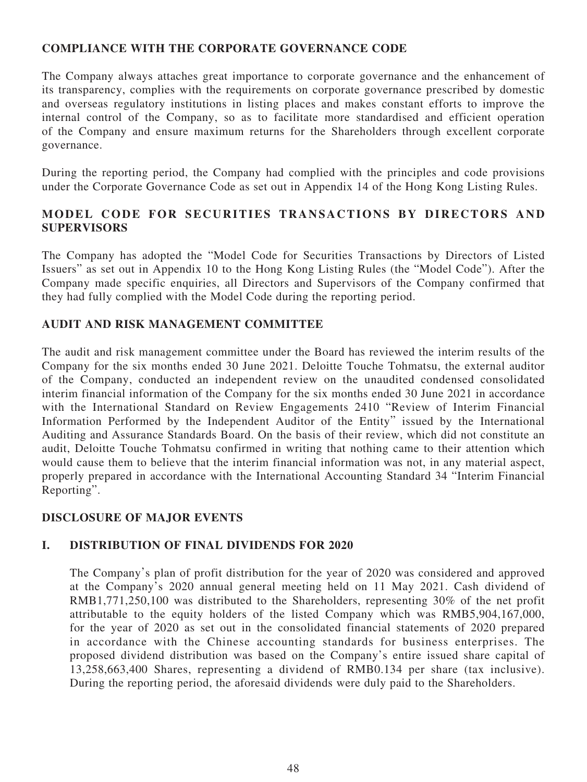# **COMPLIANCE WITH THE CORPORATE GOVERNANCE CODE**

The Company always attaches great importance to corporate governance and the enhancement of its transparency, complies with the requirements on corporate governance prescribed by domestic and overseas regulatory institutions in listing places and makes constant efforts to improve the internal control of the Company, so as to facilitate more standardised and efficient operation of the Company and ensure maximum returns for the Shareholders through excellent corporate governance.

During the reporting period, the Company had complied with the principles and code provisions under the Corporate Governance Code as set out in Appendix 14 of the Hong Kong Listing Rules.

# **MODEL CODE FOR SECURITIES TRANSACTIONS BY DIRECTORS AND SUPERVISORS**

The Company has adopted the "Model Code for Securities Transactions by Directors of Listed Issuers" as set out in Appendix 10 to the Hong Kong Listing Rules (the "Model Code"). After the Company made specific enquiries, all Directors and Supervisors of the Company confirmed that they had fully complied with the Model Code during the reporting period.

# **AUDIT AND RISK MANAGEMENT COMMITTEE**

The audit and risk management committee under the Board has reviewed the interim results of the Company for the six months ended 30 June 2021. Deloitte Touche Tohmatsu, the external auditor of the Company, conducted an independent review on the unaudited condensed consolidated interim financial information of the Company for the six months ended 30 June 2021 in accordance with the International Standard on Review Engagements 2410 "Review of Interim Financial Information Performed by the Independent Auditor of the Entity" issued by the International Auditing and Assurance Standards Board. On the basis of their review, which did not constitute an audit, Deloitte Touche Tohmatsu confirmed in writing that nothing came to their attention which would cause them to believe that the interim financial information was not, in any material aspect, properly prepared in accordance with the International Accounting Standard 34 "Interim Financial Reporting".

# **DISCLOSURE OF MAJOR EVENTS**

# **I. DISTRIBUTION OF FINAL DIVIDENDS FOR 2020**

The Company's plan of profit distribution for the year of 2020 was considered and approved at the Company's 2020 annual general meeting held on 11 May 2021. Cash dividend of RMB1,771,250,100 was distributed to the Shareholders, representing 30% of the net profit attributable to the equity holders of the listed Company which was RMB5,904,167,000, for the year of 2020 as set out in the consolidated financial statements of 2020 prepared in accordance with the Chinese accounting standards for business enterprises. The proposed dividend distribution was based on the Company's entire issued share capital of 13,258,663,400 Shares, representing a dividend of RMB0.134 per share (tax inclusive). During the reporting period, the aforesaid dividends were duly paid to the Shareholders.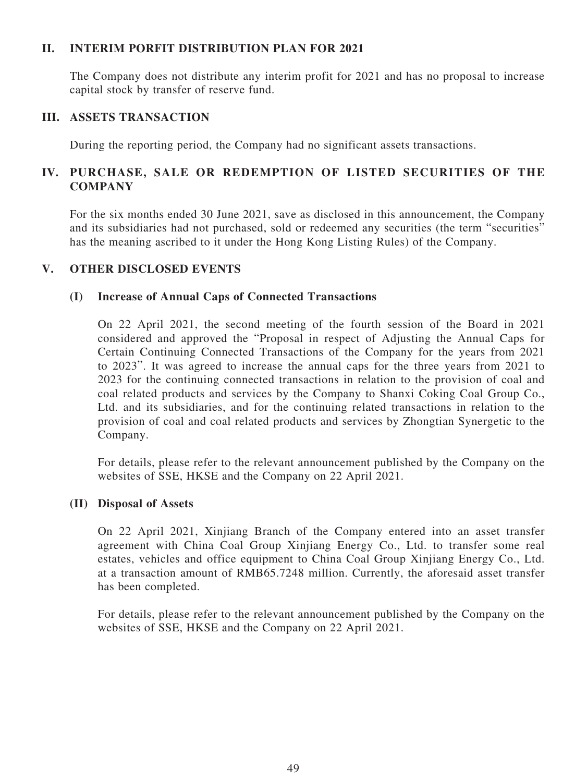## **II. INTERIM PORFIT DISTRIBUTION PLAN FOR 2021**

The Company does not distribute any interim profit for 2021 and has no proposal to increase capital stock by transfer of reserve fund.

### **III. ASSETS TRANSACTION**

During the reporting period, the Company had no significant assets transactions.

# **IV. PURCHASE, SALE OR REDEMPTION OF LISTED SECURITIES OF THE COMPANY**

For the six months ended 30 June 2021, save as disclosed in this announcement, the Company and its subsidiaries had not purchased, sold or redeemed any securities (the term "securities" has the meaning ascribed to it under the Hong Kong Listing Rules) of the Company.

## **V. OTHER DISCLOSED EVENTS**

#### **(I) Increase of Annual Caps of Connected Transactions**

On 22 April 2021, the second meeting of the fourth session of the Board in 2021 considered and approved the "Proposal in respect of Adjusting the Annual Caps for Certain Continuing Connected Transactions of the Company for the years from 2021 to 2023". It was agreed to increase the annual caps for the three years from 2021 to 2023 for the continuing connected transactions in relation to the provision of coal and coal related products and services by the Company to Shanxi Coking Coal Group Co., Ltd. and its subsidiaries, and for the continuing related transactions in relation to the provision of coal and coal related products and services by Zhongtian Synergetic to the Company.

For details, please refer to the relevant announcement published by the Company on the websites of SSE, HKSE and the Company on 22 April 2021.

#### **(II) Disposal of Assets**

On 22 April 2021, Xinjiang Branch of the Company entered into an asset transfer agreement with China Coal Group Xinjiang Energy Co., Ltd. to transfer some real estates, vehicles and office equipment to China Coal Group Xinjiang Energy Co., Ltd. at a transaction amount of RMB65.7248 million. Currently, the aforesaid asset transfer has been completed.

For details, please refer to the relevant announcement published by the Company on the websites of SSE, HKSE and the Company on 22 April 2021.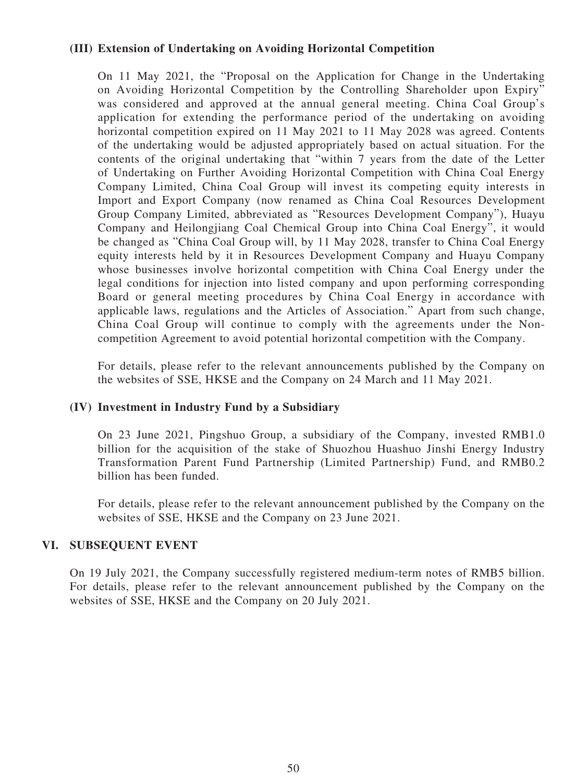### **(III) Extension of Undertaking on Avoiding Horizontal Competition**

On 11 May 2021, the "Proposal on the Application for Change in the Undertaking on Avoiding Horizontal Competition by the Controlling Shareholder upon Expiry" was considered and approved at the annual general meeting. China Coal Group's application for extending the performance period of the undertaking on avoiding horizontal competition expired on 11 May 2021 to 11 May 2028 was agreed. Contents of the undertaking would be adjusted appropriately based on actual situation. For the contents of the original undertaking that "within 7 years from the date of the Letter of Undertaking on Further Avoiding Horizontal Competition with China Coal Energy Company Limited, China Coal Group will invest its competing equity interests in Import and Export Company (now renamed as China Coal Resources Development Group Company Limited, abbreviated as "Resources Development Company"), Huayu Company and Heilongjiang Coal Chemical Group into China Coal Energy", it would be changed as "China Coal Group will, by 11 May 2028, transfer to China Coal Energy equity interests held by it in Resources Development Company and Huayu Company whose businesses involve horizontal competition with China Coal Energy under the legal conditions for injection into listed company and upon performing corresponding Board or general meeting procedures by China Coal Energy in accordance with applicable laws, regulations and the Articles of Association." Apart from such change, China Coal Group will continue to comply with the agreements under the Noncompetition Agreement to avoid potential horizontal competition with the Company.

For details, please refer to the relevant announcements published by the Company on the websites of SSE, HKSE and the Company on 24 March and 11 May 2021.

#### **(IV) Investment in Industry Fund by a Subsidiary**

On 23 June 2021, Pingshuo Group, a subsidiary of the Company, invested RMB1.0 billion for the acquisition of the stake of Shuozhou Huashuo Jinshi Energy Industry Transformation Parent Fund Partnership (Limited Partnership) Fund, and RMB0.2 billion has been funded.

For details, please refer to the relevant announcement published by the Company on the websites of SSE, HKSE and the Company on 23 June 2021.

#### **VI. SUBSEQUENT EVENT**

On 19 July 2021, the Company successfully registered medium-term notes of RMB5 billion. For details, please refer to the relevant announcement published by the Company on the websites of SSE, HKSE and the Company on 20 July 2021.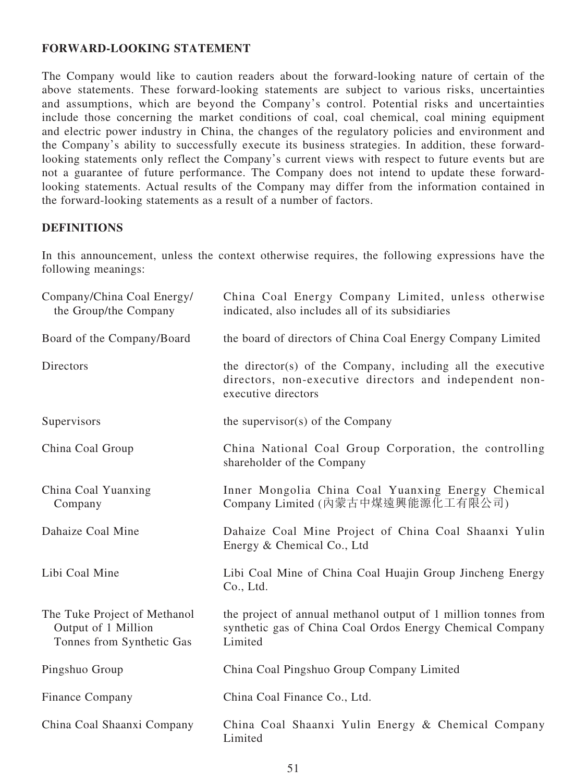### **FORWARD-LOOKING STATEMENT**

The Company would like to caution readers about the forward-looking nature of certain of the above statements. These forward-looking statements are subject to various risks, uncertainties and assumptions, which are beyond the Company's control. Potential risks and uncertainties include those concerning the market conditions of coal, coal chemical, coal mining equipment and electric power industry in China, the changes of the regulatory policies and environment and the Company's ability to successfully execute its business strategies. In addition, these forwardlooking statements only reflect the Company's current views with respect to future events but are not a guarantee of future performance. The Company does not intend to update these forwardlooking statements. Actual results of the Company may differ from the information contained in the forward-looking statements as a result of a number of factors.

# **DEFINITIONS**

In this announcement, unless the context otherwise requires, the following expressions have the following meanings:

| Company/China Coal Energy/<br>the Group/the Company                              | China Coal Energy Company Limited, unless otherwise<br>indicated, also includes all of its subsidiaries                                       |
|----------------------------------------------------------------------------------|-----------------------------------------------------------------------------------------------------------------------------------------------|
| Board of the Company/Board                                                       | the board of directors of China Coal Energy Company Limited                                                                                   |
| Directors                                                                        | the director(s) of the Company, including all the executive<br>directors, non-executive directors and independent non-<br>executive directors |
| Supervisors                                                                      | the supervisor $(s)$ of the Company                                                                                                           |
| China Coal Group                                                                 | China National Coal Group Corporation, the controlling<br>shareholder of the Company                                                          |
| China Coal Yuanxing<br>Company                                                   | Inner Mongolia China Coal Yuanxing Energy Chemical<br>Company Limited (內蒙古中煤遠興能源化工有限公司)                                                       |
| Dahaize Coal Mine                                                                | Dahaize Coal Mine Project of China Coal Shaanxi Yulin<br>Energy & Chemical Co., Ltd                                                           |
| Libi Coal Mine                                                                   | Libi Coal Mine of China Coal Huajin Group Jincheng Energy<br>Co., Ltd.                                                                        |
| The Tuke Project of Methanol<br>Output of 1 Million<br>Tonnes from Synthetic Gas | the project of annual methanol output of 1 million tonnes from<br>synthetic gas of China Coal Ordos Energy Chemical Company<br>Limited        |
| Pingshuo Group                                                                   | China Coal Pingshuo Group Company Limited                                                                                                     |
| Finance Company                                                                  | China Coal Finance Co., Ltd.                                                                                                                  |
| China Coal Shaanxi Company                                                       | China Coal Shaanxi Yulin Energy & Chemical Company<br>Limited                                                                                 |